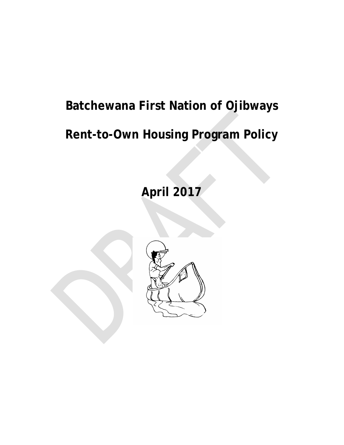# **Batchewana First Nation of Ojibways**

# **Rent-to-Own Housing Program Policy**

# **April 2017**

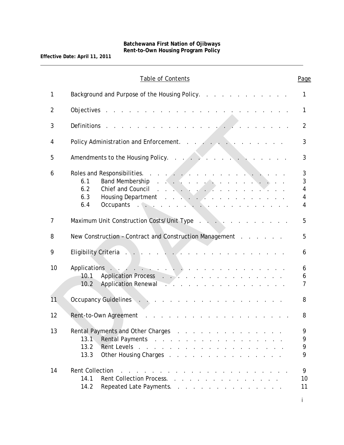|                | Table of Contents                                                                                                                                                                                                                                                                                                                                                                                                                                                                                                                                                                                                                                                                                                      | Page                  |
|----------------|------------------------------------------------------------------------------------------------------------------------------------------------------------------------------------------------------------------------------------------------------------------------------------------------------------------------------------------------------------------------------------------------------------------------------------------------------------------------------------------------------------------------------------------------------------------------------------------------------------------------------------------------------------------------------------------------------------------------|-----------------------|
| 1              | Background and Purpose of the Housing Policy.                                                                                                                                                                                                                                                                                                                                                                                                                                                                                                                                                                                                                                                                          | 1                     |
| $\overline{2}$ | and the company of the company of the company of the company of the company of the company of the company of the company of the company of the company of the company of the company of the company of the company of the comp<br>Objectives                                                                                                                                                                                                                                                                                                                                                                                                                                                                           | 1                     |
| 3              | Definitions                                                                                                                                                                                                                                                                                                                                                                                                                                                                                                                                                                                                                                                                                                            | $\overline{2}$        |
| 4              | Policy Administration and Enforcement.                                                                                                                                                                                                                                                                                                                                                                                                                                                                                                                                                                                                                                                                                 | 3                     |
| 5              |                                                                                                                                                                                                                                                                                                                                                                                                                                                                                                                                                                                                                                                                                                                        | 3                     |
| 6              | Roles and Responsibilities.<br>and the second con-<br>Band Membership reserves and serves and serves and serves and serves and serves and serves and serves and serves and serves and serves and serves and serves and serves and serves and serves and serves and serves and serves<br>6.1<br><u>and the second contract of the second second contract of the second second second second second second second second second second second second second second second second second second second second second second second</u><br>6.2<br>Chief and Council<br>Housing Department<br>6.3<br>Occupants de la contracte de la contracte de la contracte de la contracte de la contracte de la contracte de la<br>6.4 | 3<br>3<br>4<br>4<br>4 |
| $\overline{7}$ | Maximum Unit Construction Costs/Unit Type                                                                                                                                                                                                                                                                                                                                                                                                                                                                                                                                                                                                                                                                              | 5                     |
| 8              | New Construction - Contract and Construction Management                                                                                                                                                                                                                                                                                                                                                                                                                                                                                                                                                                                                                                                                | 5                     |
| 9              | Eligibility Criteria New York New York New York New York New York New York New York New York New York New York                                                                                                                                                                                                                                                                                                                                                                                                                                                                                                                                                                                                         | 6                     |
| 10             | <u>and the second contract of the second contract of the second contract of the second contract of the second contract of the second contract of the second contract of the second contract of the second contract of the second</u><br>Applications<br>10.1<br>Application Renewal<br>10.2                                                                                                                                                                                                                                                                                                                                                                                                                            | 6<br>6<br>7           |
| 11             |                                                                                                                                                                                                                                                                                                                                                                                                                                                                                                                                                                                                                                                                                                                        | 8                     |
| 12             | Rent-to-Own Agreement                                                                                                                                                                                                                                                                                                                                                                                                                                                                                                                                                                                                                                                                                                  | 8                     |
| 13             | Rental Payments and Other Charges<br>13.1<br>Rental Payments<br>Rent Levels.<br>13.2<br>and the contract of the contract of the contract of the contract of<br>13.3<br>Other Housing Charges                                                                                                                                                                                                                                                                                                                                                                                                                                                                                                                           | 9<br>9<br>9<br>9      |
| 14             | <b>Rent Collection</b><br>the contract of the contract of the contract of the contract of the contract of<br>14.1<br>Rent Collection Process.<br>14.2<br>Repeated Late Payments.                                                                                                                                                                                                                                                                                                                                                                                                                                                                                                                                       | 9<br>10<br>11         |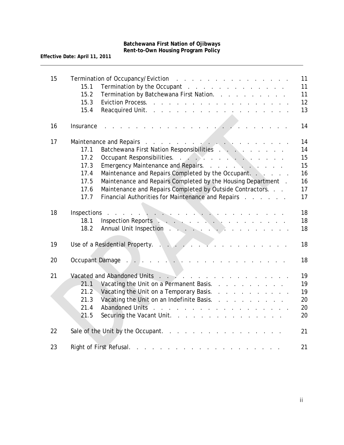| 15 | Termination by the Occupant and a subset of the contract of the Contract of the Contract of the Contract of the Contract of the Contract of the Contract of the Contract of the Contract of the Contract of the Contract of th<br>15.1<br>15.2<br>Termination by Batchewana First Nation.<br>15.3<br>15.4                                                                                               | 11<br>11<br>11<br>12<br>13 |
|----|---------------------------------------------------------------------------------------------------------------------------------------------------------------------------------------------------------------------------------------------------------------------------------------------------------------------------------------------------------------------------------------------------------|----------------------------|
| 16 | Insurance                                                                                                                                                                                                                                                                                                                                                                                               | 14                         |
| 17 | Maintenance and Repairs<br>17.1 Batchewana First Nation Responsibilities                                                                                                                                                                                                                                                                                                                                | 14                         |
|    |                                                                                                                                                                                                                                                                                                                                                                                                         | 14                         |
|    | 17.2<br>Occupant Responsibilities.                                                                                                                                                                                                                                                                                                                                                                      | 15                         |
|    | Emergency Maintenance and Repairs.<br>17.3                                                                                                                                                                                                                                                                                                                                                              | 15                         |
|    | Maintenance and Repairs Completed by the Occupant.<br>17.4                                                                                                                                                                                                                                                                                                                                              | 16                         |
|    | Maintenance and Repairs Completed by the Housing Department.<br>17.5<br>Maintenance and Repairs Completed by Outside Contractors.<br>17.6                                                                                                                                                                                                                                                               | 16<br>17                   |
|    | Financial Authorities for Maintenance and Repairs<br>17.7                                                                                                                                                                                                                                                                                                                                               | 17                         |
|    |                                                                                                                                                                                                                                                                                                                                                                                                         |                            |
| 18 | $\begin{picture}(180,10) \put(0,0){\vector(1,0){100}} \put(10,0){\vector(1,0){100}} \put(10,0){\vector(1,0){100}} \put(10,0){\vector(1,0){100}} \put(10,0){\vector(1,0){100}} \put(10,0){\vector(1,0){100}} \put(10,0){\vector(1,0){100}} \put(10,0){\vector(1,0){100}} \put(10,0){\vector(1,0){100}} \put(10,0){\vector(1,0){100}} \put(10,0){\vector(1,0){100}}$<br>Inspections<br>and a state of the | 18                         |
|    | 18.1                                                                                                                                                                                                                                                                                                                                                                                                    | 18                         |
|    | Annual Unit Inspection Annual Annual Unit Inspection Annual Annual Annual Annual Annual Annual Annual Annual A<br>18.2                                                                                                                                                                                                                                                                                  | 18                         |
| 19 | Use of a Residential Property.<br><u>a serie de la caracterí</u><br>$\mathbf{L}$ , $\mathbf{L}$ , $\mathbf{L}$<br>$\sim$ $\sim$                                                                                                                                                                                                                                                                         | 18                         |
| 20 | Occupant Damage<br>and the company of the company of the company of the company of the company of the company of the company of the company of the company of the company of the company of the company of the company of the company of the comp                                                                                                                                                       | 18                         |
|    |                                                                                                                                                                                                                                                                                                                                                                                                         |                            |
| 21 |                                                                                                                                                                                                                                                                                                                                                                                                         | 19                         |
|    | 21.1<br>Vacating the Unit on a Permanent Basis.                                                                                                                                                                                                                                                                                                                                                         | 19                         |
|    | 21.2<br>Vacating the Unit on a Temporary Basis.                                                                                                                                                                                                                                                                                                                                                         | 19                         |
|    | Vacating the Unit on an Indefinite Basis.<br>21.3                                                                                                                                                                                                                                                                                                                                                       | 20                         |
|    | Abandoned Units<br>21.4                                                                                                                                                                                                                                                                                                                                                                                 | 20                         |
|    | 21.5<br>Securing the Vacant Unit.                                                                                                                                                                                                                                                                                                                                                                       | 20                         |
| 22 | Sale of the Unit by the Occupant.                                                                                                                                                                                                                                                                                                                                                                       | 21                         |
| 23 | Right of First Refusal.<br>المتواصل والمتواطن والمتواطن والمتواطن والمتواطن والمتواطن والمتواطن والمتواطن                                                                                                                                                                                                                                                                                               | 21                         |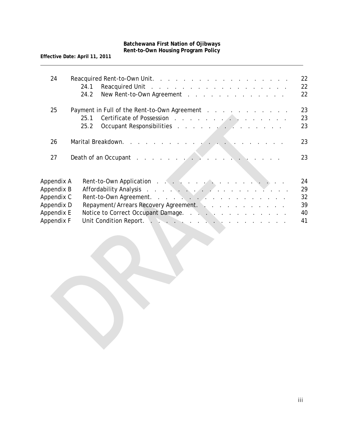| 24                                                   | Reacquired Unit and a contract the contract of the contract of the Reacquired Unit<br>24.1<br>24.2<br>New Rent-to-Own Agreement                                                                                                                                                                                                                                                               | 22<br>22<br>22       |
|------------------------------------------------------|-----------------------------------------------------------------------------------------------------------------------------------------------------------------------------------------------------------------------------------------------------------------------------------------------------------------------------------------------------------------------------------------------|----------------------|
| 25                                                   | Payment in Full of the Rent-to-Own Agreement Alberta Alberta Alberta Alberta Alberta Alberta Alberta Alberta A<br>Certificate of Possession and a contract of the contract of Possession and a contract of the contract of the contract of the contract of the contract of the contract of the contract of the contract of the contract of the c<br>25.1<br>Occupant Responsibilities<br>25.2 | 23<br>23<br>23       |
| 26                                                   |                                                                                                                                                                                                                                                                                                                                                                                               | 23                   |
| 27                                                   | Death of an Occupant research and research and research and research and research and research and research and                                                                                                                                                                                                                                                                               | 23                   |
| Appendix A<br>Appendix B<br>Appendix C<br>Appendix D | Rent-to-Own Application and the contract of the contract of the contract of the contract of the contract of the contract of the contract of the contract of the contract of the contract of the contract of the contract of th<br>Affordability Analysis<br>Rent-to-Own Agreement.<br>Repayment/Arrears Recovery Agreement.                                                                   | 24<br>29<br>32<br>39 |
| Appendix E<br>Appendix F                             | Notice to Correct Occupant Damage.<br>Unit Condition Report. And Albert Albert Albert Albert Albert Albert Albert Albert Albert Albert Albert Albert                                                                                                                                                                                                                                          | 40<br>41             |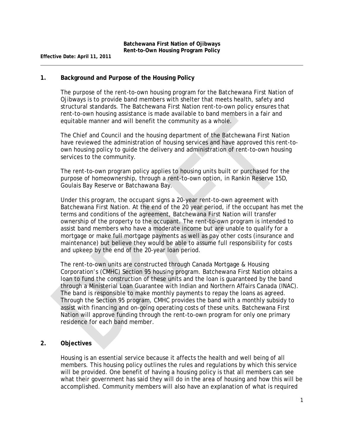#### **1. Background and Purpose of the Housing Policy**

The purpose of the rent-to-own housing program for the Batchewana First Nation of Ojibways is to provide band members with shelter that meets health, safety and structural standards. The Batchewana First Nation rent-to-own policy ensures that rent-to-own housing assistance is made available to band members in a fair and equitable manner and will benefit the community as a whole.

The Chief and Council and the housing department of the Batchewana First Nation have reviewed the administration of housing services and have approved this rent-toown housing policy to guide the delivery and administration of rent-to-own housing services to the community.

The rent-to-own program policy applies to housing units built or purchased for the purpose of homeownership, through a rent-to-own option, in Rankin Reserve 15D, Goulais Bay Reserve or Batchawana Bay.

Under this program, the occupant signs a 20-year rent-to-own agreement with Batchewana First Nation. At the end of the 20 year period, if the occupant has met the terms and conditions of the agreement, Batchewana First Nation will transfer ownership of the property to the occupant. The rent-to-own program is intended to assist band members who have a moderate income but are unable to qualify for a mortgage or make full mortgage payments as well as pay other costs (insurance and maintenance) but believe they would be able to assume full responsibility for costs and upkeep by the end of the 20-year loan period.

The rent-to-own units are constructed through Canada Mortgage & Housing Corporation's (CMHC) Section 95 housing program. Batchewana First Nation obtains a loan to fund the construction of these units and the loan is guaranteed by the band through a Ministerial Loan Guarantee with Indian and Northern Affairs Canada (INAC). The band is responsible to make monthly payments to repay the loans as agreed. Through the Section 95 program, CMHC provides the band with a monthly subsidy to assist with financing and on-going operating costs of these units. Batchewana First Nation will approve funding through the rent-to-own program for only one primary residence for each band member.

#### **2. Objectives**

Housing is an essential service because it affects the health and well being of all members. This housing policy outlines the rules and regulations by which this service will be provided. One benefit of having a housing policy is that all members can see what their government has said they will do in the area of housing and how this will be accomplished. Community members will also have an explanation of what is required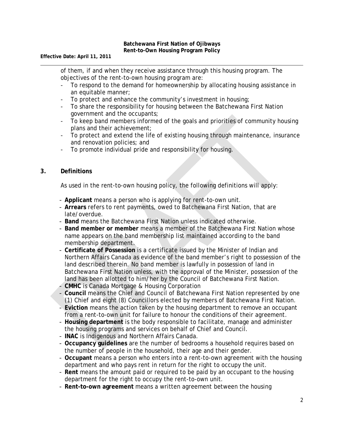**Effective Date: April 11, 2011**

of them, if and when they receive assistance through this housing program. The objectives of the rent-to-own housing program are:

- To respond to the demand for homeownership by allocating housing assistance in an equitable manner;
- To protect and enhance the community's investment in housing;
- To share the responsibility for housing between the Batchewana First Nation government and the occupants;
- To keep band members informed of the goals and priorities of community housing plans and their achievement;
- To protect and extend the life of existing housing through maintenance, insurance and renovation policies; and
- To promote individual pride and responsibility for housing.

#### **3. Definitions**

As used in the rent-to-own housing policy, the following definitions will apply:

- **Applicant** means a person who is applying for rent-to-own unit.
- **Arrears** refers to rent payments, owed to Batchewana First Nation, that are late/overdue.
- **Band** means the Batchewana First Nation unless indicated otherwise.
- **Band member or member** means a member of the Batchewana First Nation whose name appears on the band membership list maintained according to the band membership department.
- **Certificate of Possession** is a certificate issued by the Minister of Indian and Northern Affairs Canada as evidence of the band member's right to possession of the land described therein. No band member is lawfully in possession of land in Batchewana First Nation unless, with the approval of the Minister, possession of the land has been allotted to him/her by the Council of Batchewana First Nation.
- **CMHC** is Canada Mortgage & Housing Corporation
- **Council** means the Chief and Council of Batchewana First Nation represented by one (1) Chief and eight (8) Councillors elected by members of Batchewana First Nation.
- **Eviction** means the action taken by the housing department to remove an occupant from a rent-to-own unit for failure to honour the conditions of their agreement.
- **Housing department** is the body responsible to facilitate, manage and administer the housing programs and services on behalf of Chief and Council.
- **INAC** is Indigenous and Northern Affairs Canada.
- **Occupancy guidelines** are the number of bedrooms a household requires based on the number of people in the household, their age and their gender.
- **Occupant** means a person who enters into a rent-to-own agreement with the housing department and who pays rent in return for the right to occupy the unit.
- **Rent** means the amount paid or required to be paid by an occupant to the housing department for the right to occupy the rent-to-own unit.
- **Rent-to-own agreement** means a written agreement between the housing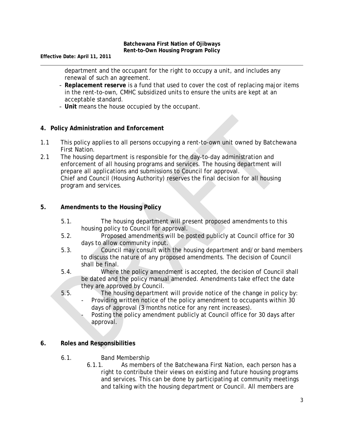**Effective Date: April 11, 2011**

department and the occupant for the right to occupy a unit, and includes any renewal of such an agreement.

- **Replacement reserve** is a fund that used to cover the cost of replacing major items in the rent-to-own, CMHC subsidized units to ensure the units are kept at an acceptable standard.
- **Unit** means the house occupied by the occupant.

# **4. Policy Administration and Enforcement**

- 1.1 This policy applies to all persons occupying a rent-to-own unit owned by Batchewana First Nation.
- 2.1 The housing department is responsible for the day-to-day administration and enforcement of all housing programs and services. The housing department will prepare all applications and submissions to Council for approval. Chief and Council (Housing Authority) reserves the final decision for all housing program and services.

# **5. Amendments to the Housing Policy**

- 5.1. The housing department will present proposed amendments to this housing policy to Council for approval.
- 5.2. Proposed amendments will be posted publicly at Council office for 30 days to allow community input.
- 5.3. Council may consult with the housing department and/or band members to discuss the nature of any proposed amendments. The decision of Council shall be final.
- 5.4. Where the policy amendment is accepted, the decision of Council shall be dated and the policy manual amended. Amendments take effect the date they are approved by Council.
- 5.5. The housing department will provide notice of the change in policy by:
	- Providing written notice of the policy amendment to occupants within 30 days of approval (3 months notice for any rent increases).
	- Posting the policy amendment publicly at Council office for 30 days after approval.

# **6. Roles and Responsibilities**

- 6.1. Band Membership
	- 6.1.1. As members of the Batchewana First Nation, each person has a right to contribute their views on existing and future housing programs and services. This can be done by participating at community meetings and talking with the housing department or Council. All members are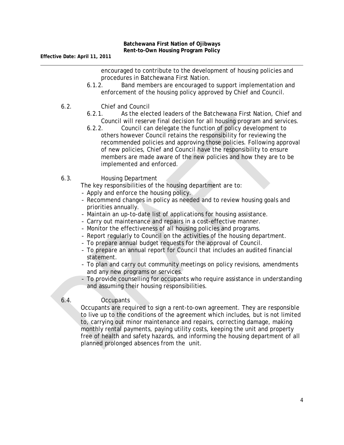encouraged to contribute to the development of housing policies and procedures in Batchewana First Nation.

- 6.1.2. Band members are encouraged to support implementation and enforcement of the housing policy approved by Chief and Council.
- 6.2. Chief and Council
	- 6.2.1. As the elected leaders of the Batchewana First Nation, Chief and Council will reserve final decision for all housing program and services.
	- 6.2.2. Council can delegate the function of policy development to others however Council retains the responsibility for reviewing the recommended policies and approving those policies. Following approval of new policies, Chief and Council have the responsibility to ensure members are made aware of the new policies and how they are to be implemented and enforced.
- 6.3. Housing Department

The key responsibilities of the housing department are to:

- Apply and enforce the housing policy.
- Recommend changes in policy as needed and to review housing goals and priorities annually.
- Maintain an up-to-date list of applications for housing assistance.
- Carry out maintenance and repairs in a cost-effective manner.
- Monitor the effectiveness of all housing policies and programs.
- Report regularly to Council on the activities of the housing department.
- To prepare annual budget requests for the approval of Council.
- To prepare an annual report for Council that includes an audited financial statement.
- To plan and carry out community meetings on policy revisions, amendments and any new programs or services.
- To provide counselling for occupants who require assistance in understanding and assuming their housing responsibilities.

# 6.4. Occupants

Occupants are required to sign a rent-to-own agreement. They are responsible to live up to the conditions of the agreement which includes, but is not limited to, carrying out minor maintenance and repairs, correcting damage, making monthly rental payments, paying utility costs, keeping the unit and property free of health and safety hazards, and informing the housing department of all planned prolonged absences from the unit.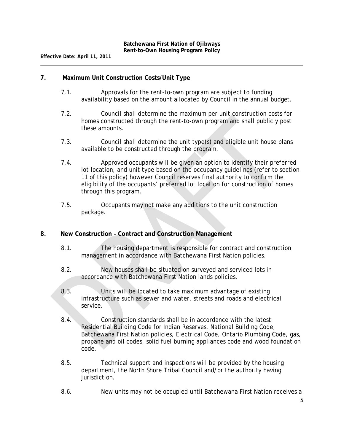# **7. Maximum Unit Construction Costs/Unit Type**

- 7.1. Approvals for the rent-to-own program are subject to funding availability based on the amount allocated by Council in the annual budget.
- 7.2. Council shall determine the maximum per unit construction costs for homes constructed through the rent-to-own program and shall publicly post these amounts.
- 7.3. Council shall determine the unit type(s) and eligible unit house plans available to be constructed through the program.
- 7.4. Approved occupants will be given an option to identify their preferred lot location, and unit type based on the occupancy guidelines (refer to section 11 of this policy) however Council reserves final authority to confirm the eligibility of the occupants' preferred lot location for construction of homes through this program.
- 7.5. Occupants may not make any additions to the unit construction package.

# **8. New Construction – Contract and Construction Management**

- 8.1. The housing department is responsible for contract and construction management in accordance with Batchewana First Nation policies.
- 8.2. New houses shall be situated on surveyed and serviced lots in accordance with Batchewana First Nation lands policies.
- 8.3. Units will be located to take maximum advantage of existing infrastructure such as sewer and water, streets and roads and electrical service.
- 8.4. Construction standards shall be in accordance with the latest Residential Building Code for Indian Reserves, National Building Code, Batchewana First Nation policies, Electrical Code, Ontario Plumbing Code, gas, propane and oil codes, solid fuel burning appliances code and wood foundation code.
- 8.5. Technical support and inspections will be provided by the housing department, the North Shore Tribal Council and/or the authority having jurisdiction.
- 8.6. New units may not be occupied until Batchewana First Nation receives a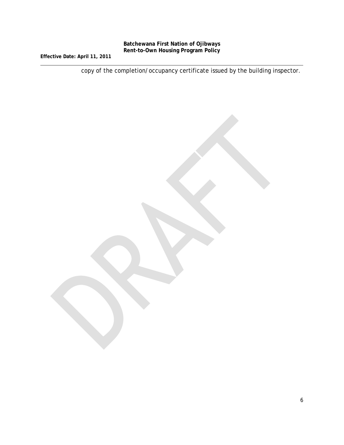**Effective Date: April 11, 2011**

copy of the completion/occupancy certificate issued by the building inspector.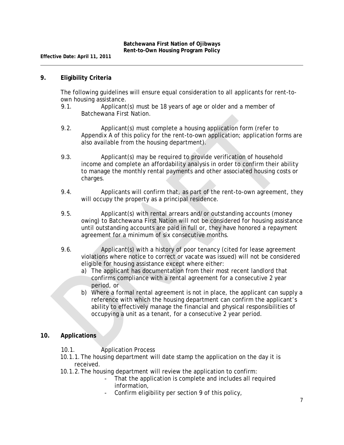#### **9. Eligibility Criteria**

The following guidelines will ensure equal consideration to all applicants for rent-toown housing assistance.

- 9.1. Applicant(s) must be 18 years of age or older and a member of Batchewana First Nation.
- 9.2. Applicant(s) must complete a housing application form (refer to Appendix A of this policy for the rent-to-own application; application forms are also available from the housing department).
- 9.3. Applicant(s) may be required to provide verification of household income and complete an affordability analysis in order to confirm their ability to manage the monthly rental payments and other associated housing costs or charges.
- 9.4. Applicants will confirm that, as part of the rent-to-own agreement, they will occupy the property as a principal residence.
- 9.5. Applicant(s) with rental arrears and/or outstanding accounts (money owing) to Batchewana First Nation will not be considered for housing assistance until outstanding accounts are paid in full or, they have honored a repayment agreement for a minimum of six consecutive months.
- 9.6. Applicant(s) with a history of poor tenancy (cited for lease agreement violations where notice to correct or vacate was issued) will not be considered eligible for housing assistance except where either:
	- a) The applicant has documentation from their most recent landlord that confirms compliance with a rental agreement for a consecutive 2 year period, or
	- b) Where a formal rental agreement is not in place, the applicant can supply a reference with which the housing department can confirm the applicant's ability to effectively manage the financial and physical responsibilities of occupying a unit as a tenant, for a consecutive 2 year period.

#### **10. Applications**

- 10.1. Application Process
- 10.1.1.The housing department will date stamp the application on the day it is received.
- 10.1.2.The housing department will review the application to confirm:
	- That the application is complete and includes all required information,
	- Confirm eligibility per section 9 of this policy,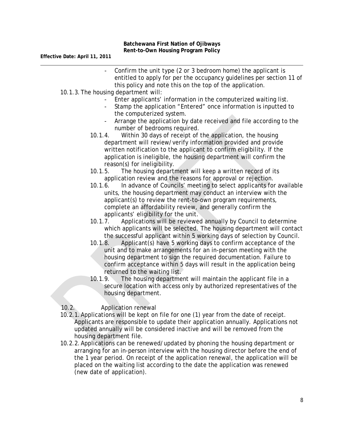- Confirm the unit type (2 or 3 bedroom home) the applicant is entitled to apply for per the occupancy guidelines per section 11 of this policy and note this on the top of the application.
- 10.1.3.The housing department will:
	- Enter applicants' information in the computerized waiting list.
	- Stamp the application "Entered" once information is inputted to the computerized system.
	- Arrange the application by date received and file according to the number of bedrooms required.
	- 10.1.4. Within 30 days of receipt of the application, the housing department will review/verify information provided and provide written notification to the applicant to confirm eligibility. If the application is ineligible, the housing department will confirm the reason(s) for ineligibility.
	- 10.1.5. The housing department will keep a written record of its application review and the reasons for approval or rejection.
	- 10.1.6. In advance of Councils' meeting to select applicants for available units, the housing department may conduct an interview with the applicant(s) to review the rent-to-own program requirements, complete an affordability review, and generally confirm the applicants' eligibility for the unit.
	- 10.1.7. Applications will be reviewed annually by Council to determine which applicants will be selected. The housing department will contact the successful applicant within 5 working days of selection by Council.
	- 10.1.8. Applicant(s) have 5 working days to confirm acceptance of the unit and to make arrangements for an in-person meeting with the housing department to sign the required documentation. Failure to confirm acceptance within 5 days will result in the application being returned to the waiting list.
	- 10.1.9. The housing department will maintain the applicant file in a secure location with access only by authorized representatives of the housing department.
- 10.2. Application renewal
- 10.2.1.Applications will be kept on file for one (1) year from the date of receipt. Applicants are responsible to update their application annually. Applications not updated annually will be considered inactive and will be removed from the housing department file.
- 10.2.2.Applications can be renewed/updated by phoning the housing department or arranging for an in-person interview with the housing director before the end of the 1 year period. On receipt of the application renewal, the application will be placed on the waiting list according to the date the application was renewed (new date of application).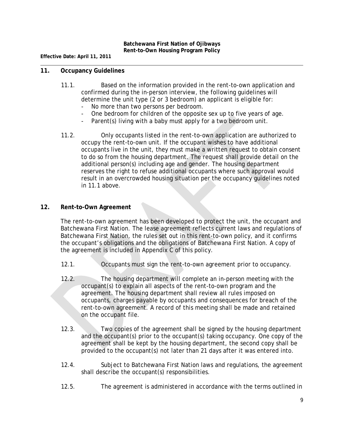#### **11. Occupancy Guidelines**

- 11.1. Based on the information provided in the rent-to-own application and confirmed during the in-person interview, the following guidelines will determine the unit type (2 or 3 bedroom) an applicant is eligible for:
	- No more than two persons per bedroom.
	- One bedroom for children of the opposite sex up to five years of age.
	- Parent(s) living with a baby must apply for a two bedroom unit.
- 11.2. Only occupants listed in the rent-to-own application are authorized to occupy the rent-to-own unit. If the occupant wishes to have additional occupants live in the unit, they must make a written request to obtain consent to do so from the housing department. The request shall provide detail on the additional person(s) including age and gender. The housing department reserves the right to refuse additional occupants where such approval would result in an overcrowded housing situation per the occupancy guidelines noted in 11.1 above.

# **12. Rent-to-Own Agreement**

The rent-to-own agreement has been developed to protect the unit, the occupant and Batchewana First Nation. The lease agreement reflects current laws and regulations of Batchewana First Nation, the rules set out in this rent-to-own policy, and it confirms the occupant's obligations and the obligations of Batchewana First Nation. A copy of the agreement is included in Appendix C of this policy.

- 12.1. Occupants must sign the rent-to-own agreement prior to occupancy.
- 12.2. The housing department will complete an in-person meeting with the occupant(s) to explain all aspects of the rent-to-own program and the agreement. The housing department shall review all rules imposed on occupants, charges payable by occupants and consequences for breach of the rent-to-own agreement. A record of this meeting shall be made and retained on the occupant file.
- 12.3. Two copies of the agreement shall be signed by the housing department and the occupant(s) prior to the occupant(s) taking occupancy. One copy of the agreement shall be kept by the housing department, the second copy shall be provided to the occupant(s) not later than 21 days after it was entered into.
- 12.4. Subject to Batchewana First Nation laws and regulations, the agreement shall describe the occupant(s) responsibilities.
- 12.5. The agreement is administered in accordance with the terms outlined in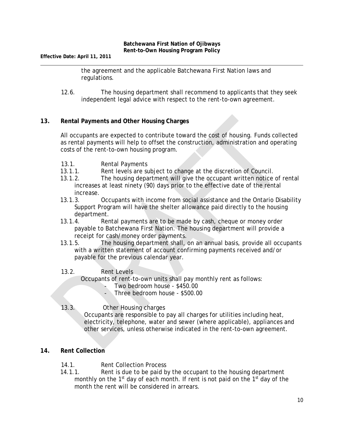**Effective Date: April 11, 2011**

the agreement and the applicable Batchewana First Nation laws and regulations.

12.6. The housing department shall recommend to applicants that they seek independent legal advice with respect to the rent-to-own agreement.

# **13. Rental Payments and Other Housing Charges**

All occupants are expected to contribute toward the cost of housing. Funds collected as rental payments will help to offset the construction, administration and operating costs of the rent-to-own housing program.

- 13.1. Rental Payments
- 13.1.1. Rent levels are subject to change at the discretion of Council.
- 13.1.2. The housing department will give the occupant written notice of rental increases at least ninety (90) days prior to the effective date of the rental increase.
- 13.1.3. Occupants with income from social assistance and the Ontario Disability Support Program will have the shelter allowance paid directly to the housing department.
- 13.1.4. Rental payments are to be made by cash, cheque or money order payable to Batchewana First Nation. The housing department will provide a receipt for cash/money order payments.
- 13.1.5. The housing department shall, on an annual basis, provide all occupants with a written statement of account confirming payments received and/or payable for the previous calendar year.

#### 13.2. Rent Levels

Occupants of rent-to-own units shall pay monthly rent as follows:

Two bedroom house - \$450.00

- Three bedroom house - \$500.00

# 13.3. Other Housing charges

Occupants are responsible to pay all charges for utilities including heat, electricity, telephone, water and sewer (where applicable), appliances and other services, unless otherwise indicated in the rent-to-own agreement.

# **14. Rent Collection**

- 14.1. Rent Collection Process
- 14.1.1. Rent is due to be paid by the occupant to the housing department monthly on the  $1<sup>st</sup>$  day of each month. If rent is not paid on the  $1<sup>st</sup>$  day of the month the rent will be considered in arrears.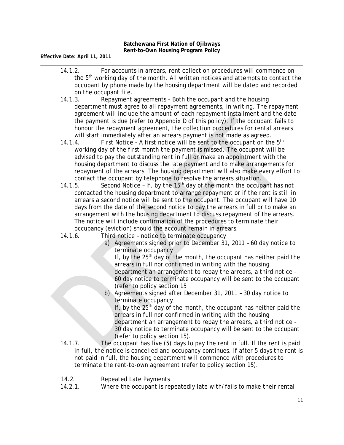- 14.1.2. For accounts in arrears, rent collection procedures will commence on the 5th working day of the month. All written notices and attempts to contact the occupant by phone made by the housing department will be dated and recorded on the occupant file.
- 14.1.3. Repayment agreements Both the occupant and the housing department must agree to all repayment agreements, in writing. The repayment agreement will include the amount of each repayment installment and the date the payment is due (refer to Appendix D of this policy). If the occupant fails to honour the repayment agreement, the collection procedures for rental arrears will start immediately after an arrears payment is not made as agreed.
- 14.1.4. First Notice A first notice will be sent to the occupant on the  $5<sup>th</sup>$ working day of the first month the payment is missed. The occupant will be advised to pay the outstanding rent in full or make an appointment with the housing department to discuss the late payment and to make arrangements for repayment of the arrears. The housing department will also make every effort to contact the occupant by telephone to resolve the arrears situation.
- 14.1.5. Second Notice If, by the  $15<sup>th</sup>$  day of the month the occupant has not contacted the housing department to arrange repayment or if the rent is still in arrears a second notice will be sent to the occupant. The occupant will have 10 days from the date of the second notice to pay the arrears in full or to make an arrangement with the housing department to discuss repayment of the arrears. The notice will include confirmation of the procedures to terminate their occupancy (eviction) should the account remain in arrears.
- 14.1.6. Third notice notice to terminate occupancy
	- a) Agreements signed prior to December 31, 2011 60 day notice to terminate occupancy

If, by the  $25<sup>th</sup>$  day of the month, the occupant has neither paid the arrears in full nor confirmed in writing with the housing department an arrangement to repay the arrears, a third notice - 60 day notice to terminate occupancy will be sent to the occupant (refer to policy section 15

b) Agreements signed after December 31, 2011 – 30 day notice to terminate occupancy

If, by the  $25<sup>th</sup>$  day of the month, the occupant has neither paid the arrears in full nor confirmed in writing with the housing department an arrangement to repay the arrears, a third notice - 30 day notice to terminate occupancy will be sent to the occupant (refer to policy section 15).

- 14.1.7. The occupant has five (5) days to pay the rent in full. If the rent is paid in full, the notice is cancelled and occupancy continues. If after 5 days the rent is not paid in full, the housing department will commence with procedures to terminate the rent-to-own agreement (refer to policy section 15).
- 14.2. Repeated Late Payments
- 14.2.1. Where the occupant is repeatedly late with/fails to make their rental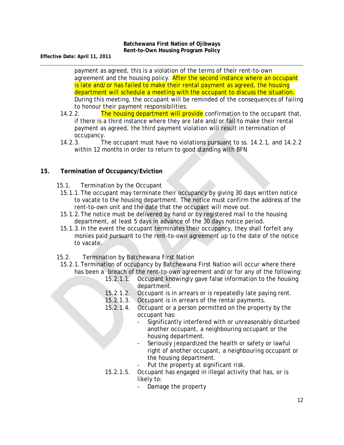**Effective Date: April 11, 2011**

payment as agreed, this is a violation of the terms of their rent-to-own agreement and the housing policy. After the second instance where an occupant is late and/or has failed to make their rental payment as agreed, the housing department will schedule a meeting with the occupant to discuss the situation. During this meeting, the occupant will be reminded of the consequences of failing to honour their payment responsibilities.

- 14.2.2. The housing department will provide confirmation to the occupant that, if there is a third instance where they are late and/or fail to make their rental payment as agreed, the third payment violation will result in termination of occupancy.
- 14.2.3. The occupant must have no violations pursuant to ss. 14.2.1, and 14.2.2 within 12 months in order to return to good standing with BFN

# **15. Termination of Occupancy/Eviction**

- 15.1. Termination by the Occupant
- 15.1.1.The occupant may terminate their occupancy by giving 30 days written notice to vacate to the housing department. The notice must confirm the address of the rent-to-own unit and the date that the occupant will move out.
- 15.1.2.The notice must be delivered by hand or by registered mail to the housing department, at least 5 days in advance of the 30 days notice period.
- 15.1.3.In the event the occupant terminates their occupancy, they shall forfeit any monies paid pursuant to the rent-to-own agreement up to the date of the notice to vacate.
- 15.2. Termination by Batchewana First Nation
- 15.2.1.Termination of occupancy by Batchewana First Nation will occur where there has been a breach of the rent-to-own agreement and/or for any of the following:
	- 15.2.1.1. Occupant knowingly gave false information to the housing department.
	- 15.2.1.2. Occupant is in arrears or is repeatedly late paying rent.
	- 15.2.1.3. Occupant is in arrears of the rental payments.
	- 15.2.1.4. Occupant or a person permitted on the property by the occupant has:
		- Significantly interfered with or unreasonably disturbed another occupant, a neighbouring occupant or the housing department.
		- Seriously jeopardized the health or safety or lawful right of another occupant, a neighbouring occupant or the housing department.
		- Put the property at significant risk.
	- 15.2.1.5. Occupant has engaged in illegal activity that has, or is likely to:
		- Damage the property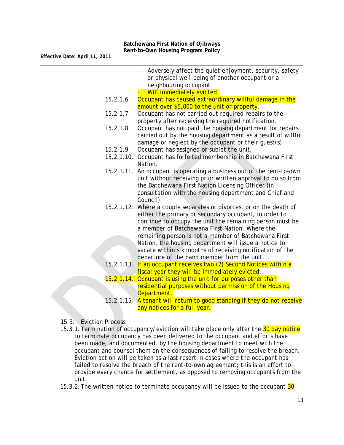|            | Adversely affect the quiet enjoyment, security, safety<br>or physical well-being of another occupant or a |
|------------|-----------------------------------------------------------------------------------------------------------|
|            | neighbouring occupant<br>Will immediately evicted.                                                        |
| 15.2.1.6.  | Occupant has caused extraordinary willful damage in the                                                   |
|            | amount over \$5,000 to the unit or property.                                                              |
| 15.2.1.7.  | Occupant has not carried out required repairs to the                                                      |
|            | property after receiving the required notification.                                                       |
| 15.2.1.8.  | Occupant has not paid the housing department for repairs                                                  |
|            | carried out by the housing department as a result of willful                                              |
|            | damage or neglect by the occupant or their guest(s).                                                      |
| 15.2.1.9.  | Occupant has assigned or sublet the unit.                                                                 |
|            | 15.2.1.10. Occupant has forfeited membership in Batchewana First                                          |
|            | Nation.                                                                                                   |
|            | 15.2.1.11. An occupant is operating a business out of the rent-to-own                                     |
|            | unit without receiving prior written approval to do so from                                               |
|            | the Batchewana First Nation Licensing Officer (in                                                         |
|            | consultation with the housing department and Chief and                                                    |
|            | Council).                                                                                                 |
|            | 15.2.1.12. Where a couple separates or divorces, or on the death of                                       |
|            | either the primary or secondary occupant, in order to                                                     |
|            | continue to occupy the unit the remaining person must be                                                  |
|            | a member of Batchewana First Nation. Where the                                                            |
|            | remaining person is not a member of Batchewana First                                                      |
|            | Nation, the housing department will issue a notice to                                                     |
|            | vacate within six months of receiving notification of the                                                 |
|            | departure of the band member from the unit.                                                               |
|            | 15.2.1.13. If an occupant receives two (2) Second Notices within a                                        |
|            | fiscal year they will be immediately evicted.                                                             |
| 15.2.1.14. | Occupant is using the unit for purposes other than                                                        |
|            | residential purposes without permission of the Housing                                                    |
|            | Department.                                                                                               |

- 15.2.1.15. A tenant will return to good standing if they do not receive any notices for a full year.
- 15.3. Eviction Process
- 15.3.1. Termination of occupancy/eviction will take place only after the 30 day notice to terminate occupancy has been delivered to the occupant and efforts have been made, and documented, by the housing department to meet with the occupant and counsel them on the consequences of failing to resolve the breach. Eviction action will be taken as a last resort in cases where the occupant has failed to resolve the breach of the rent-to-own agreement; this is an effort to provide every chance for settlement, as opposed to removing occupants from the unit.
- 15.3.2. The written notice to terminate occupancy will be issued to the occupant 30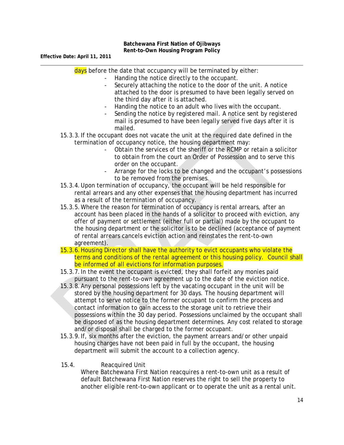| days before the date that occupancy will be terminated by either:                                      |
|--------------------------------------------------------------------------------------------------------|
| Handing the notice directly to the occupant.                                                           |
| Securely attaching the notice to the door of the unit. A notice                                        |
| attached to the door is presumed to have been legally served on<br>the third day after it is attached. |
| Handing the notice to an adult who lives with the occupant.<br>$\overline{\phantom{a}}$                |
| Sending the notice by registered mail. A notice sent by registered                                     |
| mail is presumed to have been legally served five days after it is<br>mailed.                          |
| 15.3.3. If the occupant does not vacate the unit at the required date defined in the                   |
| termination of occupancy notice, the housing department may:                                           |
| Obtain the services of the sheriff or the RCMP or retain a solicitor                                   |
| to obtain from the court an Order of Possession and to serve this                                      |
| order on the occupant.                                                                                 |
| Arrange for the locks to be changed and the occupant's possessions                                     |
| to be removed from the premises.                                                                       |
| 15.3.4. Upon termination of occupancy, the occupant will be held responsible for                       |
| rental arrears and any other expenses that the housing department has incurred                         |
| as a result of the termination of occupancy.                                                           |
| 15.3.5. Where the reason for termination of occupancy is rental arrears, after an                      |
| account has been placed in the hands of a solicitor to proceed with eviction, any                      |
| offer of payment or settlement (either full or partial) made by the occupant to                        |
| the housing department or the solicitor is to be declined (acceptance of payment                       |
| of rental arrears cancels eviction action and reinstates the rent-to-own                               |
| agreement).                                                                                            |
| 15.3.6. Housing Director shall have the authority to evict occupants who violate the                   |
| terms and conditions of the rental agreement or this housing policy. Council shall                     |
| be informed of all evictions for information purposes.                                                 |
| 15.3.7. In the event the occupant is evicted, they shall forfeit any monies paid                       |
| pursuant to the rent-to-own agreement up to the date of the eviction notice.                           |

- 15.3.8.Any personal possessions left by the vacating occupant in the unit will be stored by the housing department for 30 days. The housing department will attempt to serve notice to the former occupant to confirm the process and contact information to gain access to the storage unit to retrieve their possessions within the 30 day period. Possessions unclaimed by the occupant shall be disposed of as the housing department determines. Any cost related to storage and/or disposal shall be charged to the former occupant.
- 15.3.9.If, six months after the eviction, the payment arrears and/or other unpaid housing charges have not been paid in full by the occupant, the housing department will submit the account to a collection agency.

# 15.4. Reacquired Unit

Where Batchewana First Nation reacquires a rent-to-own unit as a result of default Batchewana First Nation reserves the right to sell the property to another eligible rent-to-own applicant or to operate the unit as a rental unit.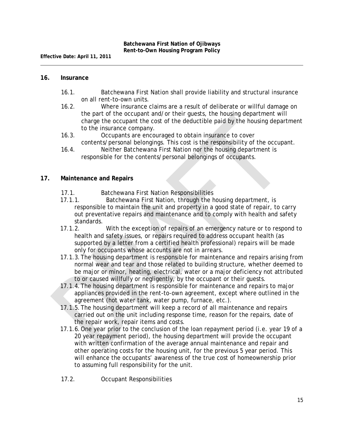#### **16. Insurance**

- 16.1. Batchewana First Nation shall provide liability and structural insurance on all rent-to-own units.
- 16.2. Where insurance claims are a result of deliberate or willful damage on the part of the occupant and/or their guests, the housing department will charge the occupant the cost of the deductible paid by the housing department to the insurance company.
- 16.3. Occupants are encouraged to obtain insurance to cover contents/personal belongings. This cost is the responsibility of the occupant.
- 16.4. Neither Batchewana First Nation nor the housing department is responsible for the contents/personal belongings of occupants.

#### **17. Maintenance and Repairs**

- 17.1. Batchewana First Nation Responsibilities
- 17.1.1. Batchewana First Nation, through the housing department, is responsible to maintain the unit and property in a good state of repair, to carry out preventative repairs and maintenance and to comply with health and safety standards.
- 17.1.2. With the exception of repairs of an emergency nature or to respond to health and safety issues, or repairs required to address occupant health (as supported by a letter from a certified health professional) repairs will be made only for occupants whose accounts are not in arrears.
- 17.1.3.The housing department is responsible for maintenance and repairs arising from normal wear and tear and those related to building structure, whether deemed to be major or minor, heating, electrical, water or a major deficiency not attributed to or caused willfully or negligently, by the occupant or their guests.
- 17.1.4.The housing department is responsible for maintenance and repairs to major appliances provided in the rent-to-own agreement, except where outlined in the agreement (hot water tank, water pump, furnace, etc.).
- 17.1.5.The housing department will keep a record of all maintenance and repairs carried out on the unit including response time, reason for the repairs, date of the repair work, repair items and costs.
- 17.1.6.One year prior to the conclusion of the loan repayment period (i.e. year 19 of a 20 year repayment period), the housing department will provide the occupant with written confirmation of the average annual maintenance and repair and other operating costs for the housing unit, for the previous 5 year period. This will enhance the occupants' awareness of the true cost of homeownership prior to assuming full responsibility for the unit.
- 17.2. Occupant Responsibilities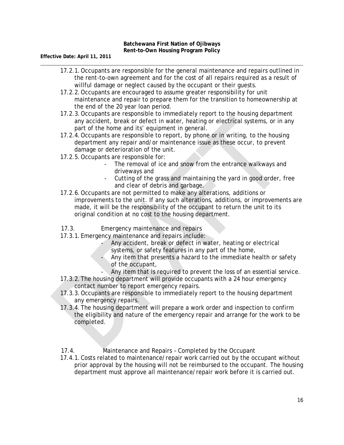- 17.2.1.Occupants are responsible for the general maintenance and repairs outlined in the rent-to-own agreement and for the cost of all repairs required as a result of willful damage or neglect caused by the occupant or their guests.
- 17.2.2.Occupants are encouraged to assume greater responsibility for unit maintenance and repair to prepare them for the transition to homeownership at the end of the 20 year loan period.
- 17.2.3.Occupants are responsible to immediately report to the housing department any accident, break or defect in water, heating or electrical systems, or in any part of the home and its' equipment in general.
- 17.2.4.Occupants are responsible to report, by phone or in writing, to the housing department any repair and/or maintenance issue as these occur, to prevent damage or deterioration of the unit.
- 17.2.5.Occupants are responsible for:
	- The removal of ice and snow from the entrance walkways and driveways and
	- Cutting of the grass and maintaining the yard in good order, free and clear of debris and garbage.
- 17.2.6.Occupants are not permitted to make any alterations, additions or improvements to the unit. If any such alterations, additions, or improvements are made, it will be the responsibility of the occupant to return the unit to its original condition at no cost to the housing department.
- 17.3. Emergency maintenance and repairs
- 17.3.1.Emergency maintenance and repairs include:
	- Any accident, break or defect in water, heating or electrical systems, or safety features in any part of the home,
	- Any item that presents a hazard to the immediate health or safety of the occupant,
	- Any item that is required to prevent the loss of an essential service.
- 17.3.2.The housing department will provide occupants with a 24 hour emergency contact number to report emergency repairs.
- 17.3.3.Occupants are responsible to immediately report to the housing department any emergency repairs.
- 17.3.4.The housing department will prepare a work order and inspection to confirm the eligibility and nature of the emergency repair and arrange for the work to be completed.
- 17.4. Maintenance and Repairs Completed by the Occupant
- 17.4.1.Costs related to maintenance/repair work carried out by the occupant without prior approval by the housing will not be reimbursed to the occupant. The housing department must approve all maintenance/repair work before it is carried out.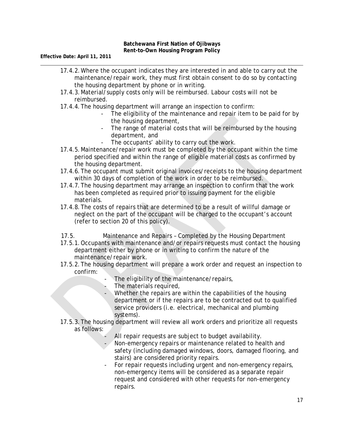- 17.4.2.Where the occupant indicates they are interested in and able to carry out the maintenance/repair work, they must first obtain consent to do so by contacting the housing department by phone or in writing.
- 17.4.3.Material/supply costs only will be reimbursed. Labour costs will not be reimbursed.
- 17.4.4.The housing department will arrange an inspection to confirm:
	- The eligibility of the maintenance and repair item to be paid for by the housing department,
	- The range of material costs that will be reimbursed by the housing department, and
	- The occupants' ability to carry out the work.
- 17.4.5.Maintenance/repair work must be completed by the occupant within the time period specified and within the range of eligible material costs as confirmed by the housing department.
- 17.4.6.The occupant must submit original invoices/receipts to the housing department within 30 days of completion of the work in order to be reimbursed.
- 17.4.7.The housing department may arrange an inspection to confirm that the work has been completed as required prior to issuing payment for the eligible materials.
- 17.4.8.The costs of repairs that are determined to be a result of willful damage or neglect on the part of the occupant will be charged to the occupant's account (refer to section 20 of this policy).
- 17.5. Maintenance and Repairs Completed by the Housing Department
- 17.5.1.Occupants with maintenance and/or repairs requests must contact the housing department either by phone or in writing to confirm the nature of the maintenance/repair work.
- 17.5.2.The housing department will prepare a work order and request an inspection to confirm:
	- The eligibility of the maintenance/repairs,
	- The materials required,
	- Whether the repairs are within the capabilities of the housing department or if the repairs are to be contracted out to qualified service providers (i.e. electrical, mechanical and plumbing systems).
- 17.5.3.The housing department will review all work orders and prioritize all requests as follows:
	- All repair requests are subject to budget availability.
	- Non-emergency repairs or maintenance related to health and safety (including damaged windows, doors, damaged flooring, and stairs) are considered priority repairs.
	- For repair requests including urgent and non-emergency repairs, non-emergency items will be considered as a separate repair request and considered with other requests for non-emergency repairs.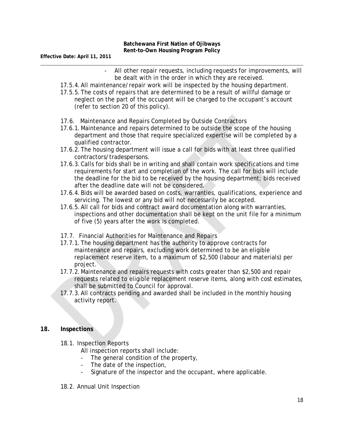- All other repair requests, including requests for improvements, will be dealt with in the order in which they are received.
- 17.5.4.All maintenance/repair work will be inspected by the housing department.
- 17.5.5.The costs of repairs that are determined to be a result of willful damage or neglect on the part of the occupant will be charged to the occupant's account (refer to section 20 of this policy).
- 17.6. Maintenance and Repairs Completed by Outside Contractors
- 17.6.1.Maintenance and repairs determined to be outside the scope of the housing department and those that require specialized expertise will be completed by a qualified contractor.
- 17.6.2.The housing department will issue a call for bids with at least three qualified contractors/tradespersons.
- 17.6.3.Calls for bids shall be in writing and shall contain work specifications and time requirements for start and completion of the work. The call for bids will include the deadline for the bid to be received by the housing department; bids received after the deadline date will not be considered.
- 17.6.4.Bids will be awarded based on costs, warranties, qualifications, experience and servicing. The lowest or any bid will not necessarily be accepted.
- 17.6.5.All call for bids and contract award documentation along with warranties, inspections and other documentation shall be kept on the unit file for a minimum of five (5) years after the work is completed.
- 17.7. Financial Authorities for Maintenance and Repairs
- 17.7.1.The housing department has the authority to approve contracts for maintenance and repairs, excluding work determined to be an eligible replacement reserve item, to a maximum of \$2,500 (labour and materials) per project.
- 17.7.2.Maintenance and repairs requests with costs greater than \$2,500 and repair requests related to eligible replacement reserve items, along with cost estimates, shall be submitted to Council for approval.
- 17.7.3.All contracts pending and awarded shall be included in the monthly housing activity report.

#### **18. Inspections**

- 18.1. Inspection Reports
	- All inspection reports shall include:
	- The general condition of the property,
	- The date of the inspection,
	- Signature of the inspector and the occupant, where applicable.
- 18.2. Annual Unit Inspection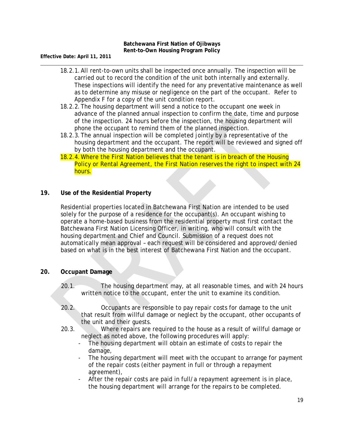- 18.2.1.All rent-to-own units shall be inspected once annually. The inspection will be carried out to record the condition of the unit both internally and externally. These inspections will identify the need for any preventative maintenance as well as to determine any misuse or negligence on the part of the occupant. Refer to Appendix F for a copy of the unit condition report.
- 18.2.2.The housing department will send a notice to the occupant one week in advance of the planned annual inspection to confirm the date, time and purpose of the inspection. 24 hours before the inspection, the housing department will phone the occupant to remind them of the planned inspection.
- 18.2.3.The annual inspection will be completed jointly by a representative of the housing department and the occupant. The report will be reviewed and signed off by both the housing department and the occupant.
- 18.2.4.Where the First Nation believes that the tenant is in breach of the Housing Policy or Rental Agreement, the First Nation reserves the right to inspect with 24 hours.

# **19. Use of the Residential Property**

Residential properties located in Batchewana First Nation are intended to be used solely for the purpose of a residence for the occupant(s). An occupant wishing to operate a home-based business from the residential property must first contact the Batchewana First Nation Licensing Officer, in writing, who will consult with the housing department and Chief and Council. Submission of a request does not automatically mean approval – each request will be considered and approved/denied based on what is in the best interest of Batchewana First Nation and the occupant.

# **20. Occupant Damage**

- 20.1. The housing department may, at all reasonable times, and with 24 hours written notice to the occupant, enter the unit to examine its condition.
- 20.2. Occupants are responsible to pay repair costs for damage to the unit that result from willful damage or neglect by the occupant, other occupants of the unit and their guests.
- 20.3. Where repairs are required to the house as a result of willful damage or neglect as noted above, the following procedures will apply:
	- The housing department will obtain an estimate of costs to repair the damage,
	- The housing department will meet with the occupant to arrange for payment of the repair costs (either payment in full or through a repayment agreement),
	- After the repair costs are paid in full/a repayment agreement is in place, the housing department will arrange for the repairs to be completed.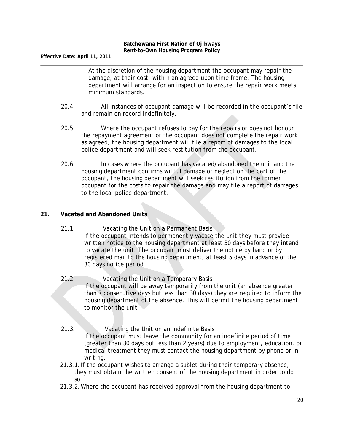**Effective Date: April 11, 2011**

- At the discretion of the housing department the occupant may repair the damage, at their cost, within an agreed upon time frame. The housing department will arrange for an inspection to ensure the repair work meets minimum standards.
- 20.4. All instances of occupant damage will be recorded in the occupant's file and remain on record indefinitely.
- 20.5. Where the occupant refuses to pay for the repairs or does not honour the repayment agreement or the occupant does not complete the repair work as agreed, the housing department will file a report of damages to the local police department and will seek restitution from the occupant.
- 20.6. In cases where the occupant has vacated/abandoned the unit and the housing department confirms willful damage or neglect on the part of the occupant, the housing department will seek restitution from the former occupant for the costs to repair the damage and may file a report of damages to the local police department.

# **21. Vacated and Abandoned Units**

- 21.1. Vacating the Unit on a Permanent Basis If the occupant intends to permanently vacate the unit they must provide written notice to the housing department at least 30 days before they intend to vacate the unit. The occupant must deliver the notice by hand or by registered mail to the housing department, at least 5 days in advance of the 30 days notice period.
- 21.2. Vacating the Unit on a Temporary Basis If the occupant will be away temporarily from the unit (an absence greater than 7 consecutive days but less than 30 days) they are required to inform the housing department of the absence. This will permit the housing department to monitor the unit.
- 21.3. Vacating the Unit on an Indefinite Basis If the occupant must leave the community for an indefinite period of time (greater than 30 days but less than 2 years) due to employment, education, or medical treatment they must contact the housing department by phone or in writing.
- 21.3.1.If the occupant wishes to arrange a sublet during their temporary absence, they must obtain the written consent of the housing department in order to do so.
- 21.3.2.Where the occupant has received approval from the housing department to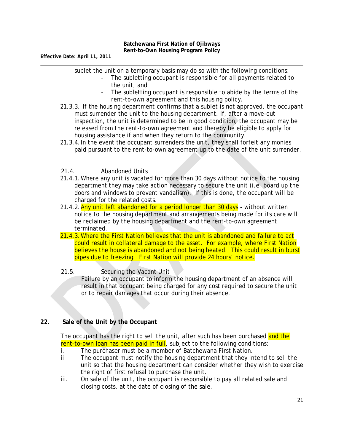sublet the unit on a temporary basis may do so with the following conditions:

- The subletting occupant is responsible for all payments related to the unit, and
- The subletting occupant is responsible to abide by the terms of the rent-to-own agreement and this housing policy.
- 21.3.3. If the housing department confirms that a sublet is not approved, the occupant must surrender the unit to the housing department. If, after a move-out inspection, the unit is determined to be in good condition, the occupant may be released from the rent-to-own agreement and thereby be eligible to apply for housing assistance if and when they return to the community.
- 21.3.4.In the event the occupant surrenders the unit, they shall forfeit any monies paid pursuant to the rent-to-own agreement up to the date of the unit surrender.
- 21.4. Abandoned Units
- 21.4.1.Where any unit is vacated for more than 30 days without notice to the housing department they may take action necessary to secure the unit (i.e. board up the doors and windows to prevent vandalism). If this is done, the occupant will be charged for the related costs.
- 21.4.2. Any unit left abandoned for a period longer than 30 days without written notice to the housing department and arrangements being made for its care will be reclaimed by the housing department and the rent-to-own agreement terminated.
- 21.4.3.Where the First Nation believes that the unit is abandoned and failure to act could result in collateral damage to the asset. For example, where First Nation believes the house is abandoned and not being heated. This could result in burst pipes due to freezing. First Nation will provide 24 hours' notice.

### 21.5. Securing the Vacant Unit

Failure by an occupant to inform the housing department of an absence will result in that occupant being charged for any cost required to secure the unit or to repair damages that occur during their absence.

# **22. Sale of the Unit by the Occupant**

The occupant has the right to sell the unit, after such has been purchased and the rent-to-own loan has been paid in full, subject to the following conditions:

- i. The purchaser must be a member of Batchewana First Nation.
- ii. The occupant must notify the housing department that they intend to sell the unit so that the housing department can consider whether they wish to exercise the right of first refusal to purchase the unit.
- iii. On sale of the unit, the occupant is responsible to pay all related sale and closing costs, at the date of closing of the sale.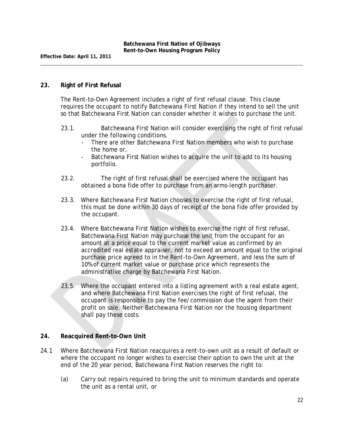#### **23. Right of First Refusal**

The Rent-to-Own Agreement includes a right of first refusal clause. This clause requires the occupant to notify Batchewana First Nation if they intend to sell the unit so that Batchewana First Nation can consider whether it wishes to purchase the unit.

- 23.1. Batchewana First Nation will consider exercising the right of first refusal under the following conditions.
	- There are other Batchewana First Nation members who wish to purchase the home or,
	- Batchewana First Nation wishes to acquire the unit to add to its housing portfolio.
- 23.2. The right of first refusal shall be exercised where the occupant has obtained a bona fide offer to purchase from an arms-length purchaser.
- 23.3. Where Batchewana First Nation chooses to exercise the right of first refusal, this must be done within 30 days of receipt of the bona fide offer provided by the occupant.
- 23.4. Where Batchewana First Nation wishes to exercise the right of first refusal, Batchewana First Nation may purchase the unit from the occupant for an amount at a price equal to the current market value as confirmed by an accredited real estate appraiser, not to exceed an amount equal to the original purchase price agreed to in the Rent-to-Own Agreement, and less the sum of 10% of current market value or purchase price which represents the administrative charge by Batchewana First Nation.
- 23.5. Where the occupant entered into a listing agreement with a real estate agent, and where Batchewana First Nation exercises the right of first refusal, the occupant is responsible to pay the fee/commission due the agent from their profit on sale. Neither Batchewana First Nation nor the housing department shall pay these costs.

#### **24. Reacquired Rent-to-Own Unit**

- 24.1 Where Batchewana First Nation reacquires a rent-to-own unit as a result of default or where the occupant no longer wishes to exercise their option to own the unit at the end of the 20 year period, Batchewana First Nation reserves the right to:
	- (a) Carry out repairs required to bring the unit to minimum standards and operate the unit as a rental unit, or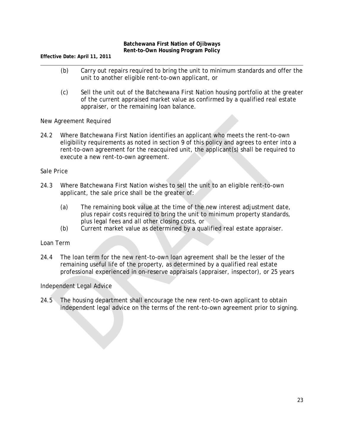**Effective Date: April 11, 2011**

- (b) Carry out repairs required to bring the unit to minimum standards and offer the unit to another eligible rent-to-own applicant, or
- (c) Sell the unit out of the Batchewana First Nation housing portfolio at the greater of the current appraised market value as confirmed by a qualified real estate appraiser, or the remaining loan balance.

New Agreement Required

24.2 Where Batchewana First Nation identifies an applicant who meets the rent-to-own eligibility requirements as noted in section 9 of this policy and agrees to enter into a rent-to-own agreement for the reacquired unit, the applicant(s) shall be required to execute a new rent-to-own agreement.

Sale Price

- 24.3 Where Batchewana First Nation wishes to sell the unit to an eligible rent-to-own applicant, the sale price shall be the greater of:
	- (a) The remaining book value at the time of the new interest adjustment date, plus repair costs required to bring the unit to minimum property standards, plus legal fees and all other closing costs, or
	- (b) Current market value as determined by a qualified real estate appraiser.

Loan Term

24.4 The loan term for the new rent-to-own loan agreement shall be the lesser of the remaining useful life of the property, as determined by a qualified real estate professional experienced in on-reserve appraisals (appraiser, inspector), or 25 years

Independent Legal Advice

24.5 The housing department shall encourage the new rent-to-own applicant to obtain independent legal advice on the terms of the rent-to-own agreement prior to signing.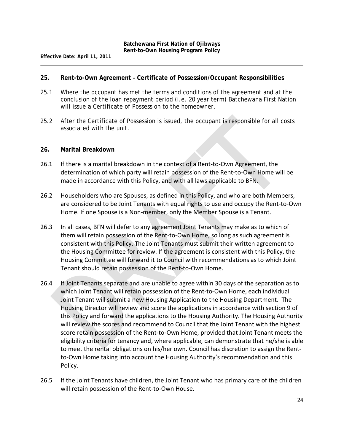#### **25. Rent-to-Own Agreement – Certificate of Possession/Occupant Responsibilities**

- 25.1 Where the occupant has met the terms and conditions of the agreement and at the conclusion of the loan repayment period (i.e. 20 year term) Batchewana First Nation will issue a Certificate of Possession to the homeowner.
- 25.2 After the Certificate of Possession is issued, the occupant is responsible for all costs associated with the unit.

#### **26. Marital Breakdown**

- 26.1 If there is a marital breakdown in the context of a Rent-to-Own Agreement, the determination of which party will retain possession of the Rent-to-Own Home will be made in accordance with this Policy, and with all laws applicable to BFN.
- 26.2 Householders who are Spouses, as defined in this Policy, and who are both Members, are considered to be Joint Tenants with equal rights to use and occupy the Rent-to-Own Home. If one Spouse is a Non-member, only the Member Spouse is a Tenant.
- 26.3 In all cases, BFN will defer to any agreement Joint Tenants may make as to which of them will retain possession of the Rent-to-Own Home, so long as such agreement is consistent with this Policy. The Joint Tenants must submit their written agreement to the Housing Committee for review. If the agreement is consistent with this Policy, the Housing Committee will forward it to Council with recommendations as to which Joint Tenant should retain possession of the Rent-to-Own Home.
- 26.4 If Joint Tenants separate and are unable to agree within 30 days of the separation as to which Joint Tenant will retain possession of the Rent-to-Own Home, each individual Joint Tenant will submit a new Housing Application to the Housing Department. The Housing Director will review and score the applications in accordance with section 9 of this Policy and forward the applications to the Housing Authority. The Housing Authority will review the scores and recommend to Council that the Joint Tenant with the highest score retain possession of the Rent-to-Own Home, provided that Joint Tenant meets the eligibility criteria for tenancy and, where applicable, can demonstrate that he/she is able to meet the rental obligations on his/her own. Council has discretion to assign the Rentto-Own Home taking into account the Housing Authority's recommendation and this Policy.
- 26.5 If the Joint Tenants have children, the Joint Tenant who has primary care of the children will retain possession of the Rent-to-Own House.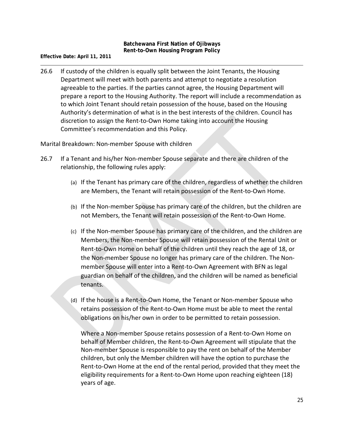**Effective Date: April 11, 2011**

26.6 If custody of the children is equally split between the Joint Tenants, the Housing Department will meet with both parents and attempt to negotiate a resolution agreeable to the parties. If the parties cannot agree, the Housing Department will prepare a report to the Housing Authority. The report will include a recommendation as to which Joint Tenant should retain possession of the house, based on the Housing Authority's determination of what is in the best interests of the children. Council has discretion to assign the Rent-to-Own Home taking into account the Housing Committee's recommendation and this Policy.

Marital Breakdown: Non-member Spouse with children

- 26.7 If a Tenant and his/her Non-member Spouse separate and there are children of the relationship, the following rules apply:
	- (a) If the Tenant has primary care of the children, regardless of whether the children are Members, the Tenant will retain possession of the Rent-to-Own Home.
	- (b) If the Non-member Spouse has primary care of the children, but the children are not Members, the Tenant will retain possession of the Rent-to-Own Home.
	- (c) If the Non-member Spouse has primary care of the children, and the children are Members, the Non-member Spouse will retain possession of the Rental Unit or Rent-to-Own Home on behalf of the children until they reach the age of 18, or the Non-member Spouse no longer has primary care of the children. The Nonmember Spouse will enter into a Rent-to-Own Agreement with BFN as legal guardian on behalf of the children, and the children will be named as beneficial tenants.
	- (d) If the house is a Rent-to-Own Home, the Tenant or Non-member Spouse who retains possession of the Rent-to-Own Home must be able to meet the rental obligations on his/her own in order to be permitted to retain possession.

Where a Non-member Spouse retains possession of a Rent-to-Own Home on behalf of Member children, the Rent-to-Own Agreement will stipulate that the Non-member Spouse is responsible to pay the rent on behalf of the Member children, but only the Member children will have the option to purchase the Rent-to-Own Home at the end of the rental period, provided that they meet the eligibility requirements for a Rent-to-Own Home upon reaching eighteen (18) years of age.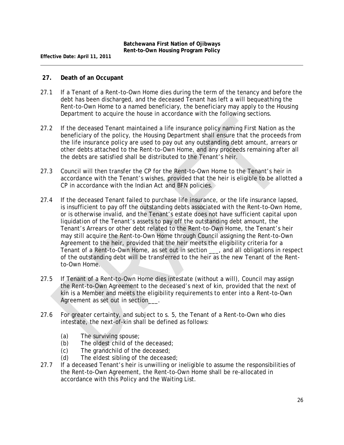#### **27. Death of an Occupant**

- 27.1 If a Tenant of a Rent-to-Own Home dies during the term of the tenancy and before the debt has been discharged, and the deceased Tenant has left a will bequeathing the Rent-to-Own Home to a named beneficiary, the beneficiary may apply to the Housing Department to acquire the house in accordance with the following sections.
- 27.2 If the deceased Tenant maintained a life insurance policy naming First Nation as the beneficiary of the policy, the Housing Department shall ensure that the proceeds from the life insurance policy are used to pay out any outstanding debt amount, arrears or other debts attached to the Rent-to-Own Home, and any proceeds remaining after all the debts are satisfied shall be distributed to the Tenant's heir.
- 27.3 Council will then transfer the CP for the Rent-to-Own Home to the Tenant's heir in accordance with the Tenant's wishes, provided that the heir is eligible to be allotted a CP in accordance with the *Indian Act* and BFN policies.
- 27.4 If the deceased Tenant failed to purchase life insurance, or the life insurance lapsed, is insufficient to pay off the outstanding debts associated with the Rent-to-Own Home, or is otherwise invalid, and the Tenant's estate does not have sufficient capital upon liquidation of the Tenant's assets to pay off the outstanding debt amount, the Tenant's Arrears or other debt related to the Rent-to-Own Home, the Tenant's heir may still acquire the Rent-to-Own Home through Council assigning the Rent-to-Own Agreement to the heir, provided that the heir meets the eligibility criteria for a Tenant of a Rent-to-Own Home, as set out in section \_\_\_, and all obligations in respect of the outstanding debt will be transferred to the heir as the new Tenant of the Rentto-Own Home.
- 27.5 If Tenant of a Rent-to-Own Home dies intestate (without a will), Council may assign the Rent-to-Own Agreement to the deceased's next of kin, provided that the next of kin is a Member and meets the eligibility requirements to enter into a Rent-to-Own Agreement as set out in section  $\overline{\phantom{a}}$ .
- 27.6 For greater certainty, and subject to s. 5, the Tenant of a Rent-to-Own who dies intestate, the next-of-kin shall be defined as follows:
	- (a) The surviving spouse;
	- (b) The oldest child of the deceased;
	- (c) The grandchild of the deceased;
	- (d) The eldest sibling of the deceased;
- 27.7 If a deceased Tenant's heir is unwilling or ineligible to assume the responsibilities of the Rent-to-Own Agreement, the Rent-to-Own Home shall be re-allocated in accordance with this Policy and the Waiting List.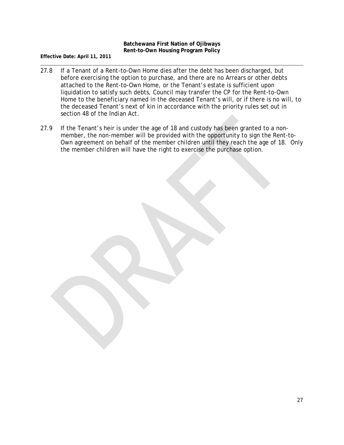- 27.8 If a Tenant of a Rent-to-Own Home dies after the debt has been discharged, but before exercising the option to purchase, and there are no Arrears or other debts attached to the Rent-to-Own Home, or the Tenant's estate is sufficient upon liquidation to satisfy such debts, Council may transfer the CP for the Rent-to-Own Home to the beneficiary named in the deceased Tenant's will, or if there is no will, to the deceased Tenant's next of kin in accordance with the priority rules set out in section 48 of the *Indian Act*.
- 27.9 If the Tenant's heir is under the age of 18 and custody has been granted to a nonmember, the non-member will be provided with the opportunity to sign the Rent-to-Own agreement on behalf of the member children until they reach the age of 18. Only the member children will have the right to exercise the purchase option.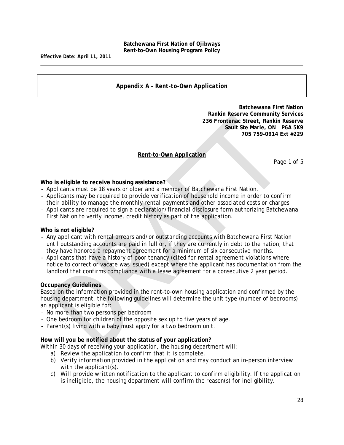#### *Appendix A – Rent-to-Own Application*

**Batchewana First Nation Rankin Reserve Community Services 236 Frontenac Street, Rankin Reserve Sault Ste Marie, ON P6A 5K9 705 759-0914 Ext #229**

#### **Rent-to-Own Application**

Page 1 of 5

**Who is eligible to receive housing assistance?**

- Applicants must be 18 years or older and a member of Batchewana First Nation.
- *Applicants may be required to provide verification of household income in order to confirm their ability to manage the monthly rental payments and other associated costs or charges.*
- Applicants are required to sign a declaration/financial disclosure form authorizing Batchewana First Nation to verify income, credit history as part of the application.

#### **Who is not eligible?**

- Any applicant with rental arrears and/or outstanding accounts with Batchewana First Nation until outstanding accounts are paid in full or, if they are currently in debt to the nation, that they have honored a repayment agreement for a minimum of six consecutive months.
- Applicants that have a history of poor tenancy (cited for rental agreement violations where notice to correct or vacate was issued) except where the applicant has documentation from the landlord that confirms compliance with a lease agreement for a consecutive 2 year period.

#### **Occupancy Guidelines**

Based on the information provided in the rent-to-own housing application and confirmed by the housing department, the following guidelines will determine the unit type (number of bedrooms) an applicant is eligible for:

- No more than two persons per bedroom
- One bedroom for children of the opposite sex up to five years of age.
- Parent(s) living with a baby must apply for a two bedroom unit.

#### **How will you be notified about the status of your application?**

Within 30 days of receiving your application, the housing department will:

- a) *Review the application to confirm that it is complete.*
- b) *Verify information provided in the application and may conduct an in-person interview with the applicant(s).*
- c) *Will provide written notification to the applicant to confirm eligibility. If the application is ineligible, the housing department will confirm the reason(s) for ineligibility.*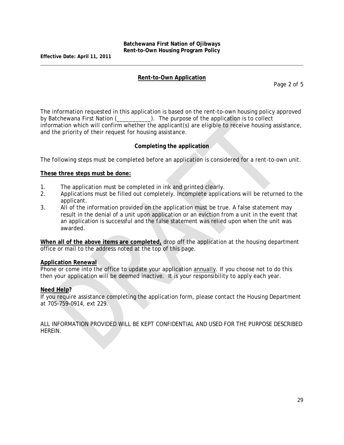#### **Rent-to-Own Application**

Page 2 of 5

The information requested in this application is based on the rent-to-own housing policy approved by Batchewana First Nation (\_\_\_\_\_\_\_\_\_\_). The purpose of the application is to collect information which will confirm whether the applicant(s) are eligible to receive housing assistance, and the priority of their request for housing assistance.

#### **Completing the application**

The following steps must be completed before an application is considered for a rent-to-own unit.

#### **These three steps must be done:**

- 1. The application must be completed in ink and printed clearly.
- 2. Applications must be filled out completely. Incomplete applications will be returned to the applicant.
- 3. All of the information provided on the application must be true. A false statement may result in the denial of a unit upon application or an eviction from a unit in the event that an application is successful and the false statement was relied upon when the unit was awarded.

**When all of the above items are completed,** drop off the application at the housing department office or mail to the address noted at the top of this page.

#### **Application Renewal**

Phone or come into the office to update your application annually. If you choose not to do this then your application will be deemed inactive. It is your responsibility to apply each year.

#### **Need Help?**

If you require assistance completing the application form, please contact the Housing Department at 705-759-0914, ext 229.

*ALL INFORMATION PROVIDED WILL BE KEPT CONFIDENTIAL AND USED FOR THE PURPOSE DESCRIBED HEREIN.*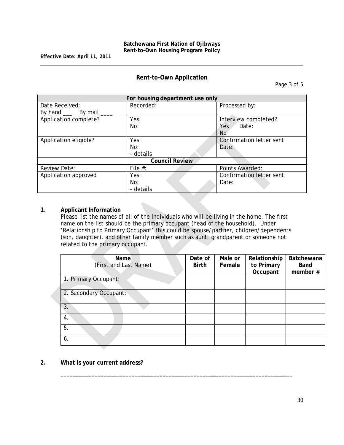# **Rent-to-Own Application**

Page 3 of 5

| For housing department use only |                       |                          |  |  |  |
|---------------------------------|-----------------------|--------------------------|--|--|--|
| Date Received:                  | Recorded:             | Processed by:            |  |  |  |
| By hand ____ By mail            |                       |                          |  |  |  |
| Application complete?           | Yes:                  | Interview completed?     |  |  |  |
|                                 | No:                   | Date:<br>Yes.            |  |  |  |
|                                 |                       | No                       |  |  |  |
| Application eligible?           | Yes:                  | Confirmation letter sent |  |  |  |
|                                 | No:                   | Date:                    |  |  |  |
|                                 | - details             |                          |  |  |  |
|                                 | <b>Council Review</b> |                          |  |  |  |
| <b>Review Date:</b>             | File $#$ :            | Points Awarded:          |  |  |  |
| Application approved            | Yes:                  | Confirmation letter sent |  |  |  |
|                                 | No:                   | Date:                    |  |  |  |
|                                 | - details             |                          |  |  |  |

#### **1. Applicant Information**

Please list the names of all of the individuals who will be living in the home. The first name on the list should be the primary occupant (head of the household). Under 'Relationship to Primary Occupant' this could be spouse/partner, children/dependents (son, daughter), and other family member such as aunt, grandparent or someone not related to the primary occupant.

\_\_\_\_\_\_\_\_\_\_\_\_\_\_\_\_\_\_\_\_\_\_\_\_\_\_\_\_\_\_\_\_\_\_\_\_\_\_\_\_\_\_\_\_\_\_\_\_\_\_\_\_\_\_\_\_\_\_\_\_\_\_\_\_\_\_\_\_\_\_\_\_\_\_\_

| Name<br>(First and Last Name) | Date of<br><b>Birth</b> | Male or<br>Female | Relationship<br>to Primary<br>Occupant | Batchewana<br><b>Band</b><br>member # |
|-------------------------------|-------------------------|-------------------|----------------------------------------|---------------------------------------|
| 1. Primary Occupant:          |                         |                   |                                        |                                       |
| 2. Secondary Occupant:        |                         |                   |                                        |                                       |
| 3.                            |                         |                   |                                        |                                       |
| 4.                            |                         |                   |                                        |                                       |
| 5.                            |                         |                   |                                        |                                       |
| 6.                            |                         |                   |                                        |                                       |

**2. What is your current address?**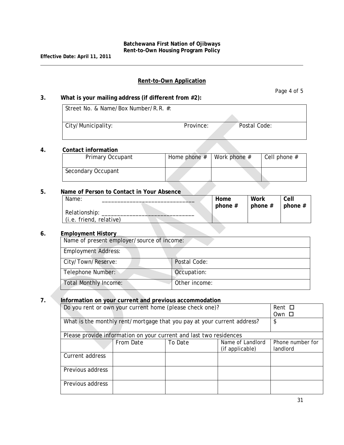### **Rent-to-Own Application**

#### **3. What is your mailing address (if different from #2):**

| Street No. & Name/Box Number/R.R. #: |           |              |
|--------------------------------------|-----------|--------------|
|                                      |           |              |
| City/Municipality:                   | Province: | Postal Code: |

#### **4. Contact information**

| Primary Occupant   | Home phone $#$ | Work phone # | Cell phone $#$ |  |  |
|--------------------|----------------|--------------|----------------|--|--|
| Secondary Occupant |                |              |                |  |  |

#### **5. Name of Person to Contact in Your Absence**

| Name:                   |  | Home      | Work      | Cell      |
|-------------------------|--|-----------|-----------|-----------|
|                         |  | phone $#$ | phone $#$ | phone $#$ |
| Relationship:           |  |           |           |           |
| (i.e. friend, relative) |  |           |           |           |

#### **6. Employment History**

| Name of present employer/source of income: |               |
|--------------------------------------------|---------------|
| <b>Employment Address:</b>                 |               |
| City/Town/Reserve:                         | Postal Code:  |
| Telephone Number:                          | Occupation:   |
| <b>Total Monthly Income:</b>               | Other income: |

# **7. Information on your current and previous accommodation**

| Do you rent or own your current home (please check one)?                | Rent $\square$                                                     |  |  |  |  |  |
|-------------------------------------------------------------------------|--------------------------------------------------------------------|--|--|--|--|--|
|                                                                         | Own □                                                              |  |  |  |  |  |
| What is the monthly rent/mortgage that you pay at your current address? | \$                                                                 |  |  |  |  |  |
|                                                                         | Please provide information on your current and last two residences |  |  |  |  |  |
|                                                                         | Phone number for                                                   |  |  |  |  |  |
|                                                                         | (if applicable)                                                    |  |  |  |  |  |
| Current address                                                         |                                                                    |  |  |  |  |  |
| Previous address                                                        |                                                                    |  |  |  |  |  |
| Previous address                                                        |                                                                    |  |  |  |  |  |

Page 4 of 5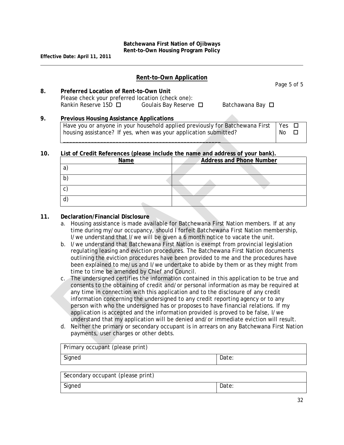### **Rent-to-Own Application**

Page 5 of 5

**8. Preferred Location of Rent-to-Own Unit** Please check your preferred location (check one): Rankin Reserve 15D  $\Box$  Goulais Bay Reserve  $\Box$  Batchawana Bay  $\Box$ 

# **9. Previous Housing Assistance Applications**

Have you or anyone in your household applied previously for Batchewana First housing assistance? If yes, when was your application submitted? \_\_\_\_\_\_\_\_\_\_\_\_\_\_\_\_\_\_\_\_\_\_\_\_\_\_\_\_\_\_\_\_\_\_\_\_\_\_\_\_\_\_\_\_\_\_\_\_\_\_\_ Yes  $\Box$ No  $\square$ 

#### **10. List of Credit References (please include the name and address of your bank).**

| Name         | <b>Address and Phone Number</b> |
|--------------|---------------------------------|
| a            |                                 |
| b)           |                                 |
| $\mathsf{C}$ |                                 |
| ď            |                                 |

#### **11. Declaration/Financial Disclosure**

- a. Housing assistance is made available for Batchewana First Nation members. If at any time during my/our occupancy, should I forfeit Batchewana First Nation membership, I/we understand that I/we will be given a 6 month notice to vacate the unit.
- b. I/we understand that Batchewana First Nation is exempt from provincial legislation regulating leasing and eviction procedures. The Batchewana First Nation documents outlining the eviction procedures have been provided to me and the procedures have been explained to me/us and I/we undertake to abide by them or as they might from time to time be amended by Chief and Council.
- c. The undersigned certifies the information contained in this application to be true and consents to the obtaining of credit and/or personal information as may be required at any time in connection with this application and to the disclosure of any credit information concerning the undersigned to any credit reporting agency or to any person with who the undersigned has or proposes to have financial relations. If my application is accepted and the information provided is proved to be false, I/we understand that my application will be denied and/or immediate eviction will result.
- d. Neither the primary or secondary occupant is in arrears on any Batchewana First Nation payments, user charges or other debts.

| Primary occupant (please print)   |       |  |  |  |  |
|-----------------------------------|-------|--|--|--|--|
| Signed                            | Date: |  |  |  |  |
| Secondary occupant (please print) |       |  |  |  |  |

Signed Date: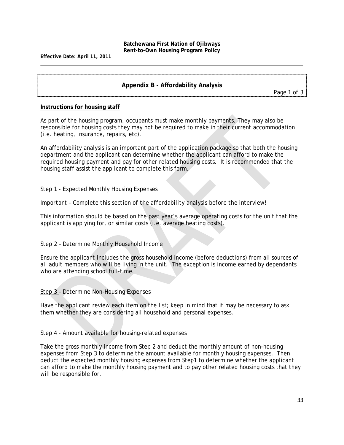**Effective Date: April 11, 2011**

# **Appendix B - Affordability Analysis**

*Page 1 of 3*

#### **Instructions for housing staff**

As part of the housing program, occupants must make monthly payments. They may also be responsible for housing costs they may not be required to make in their current accommodation (i.e. heating, insurance, repairs, etc).

An affordability analysis is an important part of the application package so that both the housing department *and* the applicant can determine whether the applicant can afford to make the required housing payment and pay for other related housing costs. It is recommended that the housing staff assist the applicant to complete this form.

#### Step 1 - Expected Monthly Housing Expenses

#### *Important – Complete this section of the affordability analysis before the interview!*

This information should be based on the past year's average operating costs for the unit that the applicant is applying for, or similar costs (i.e. average heating costs).

#### Step 2 – Determine Monthly Household Income

Ensure the applicant includes the gross household income (before deductions) from all sources of all adult members who will be living in the unit. The exception is income earned by dependants who are attending school full-time.

Step 3 – Determine Non-Housing Expenses

Have the applicant review each item on the list; keep in mind that it may be necessary to ask them whether they are considering all household and personal expenses.

Step 4 - Amount available for housing-related expenses

Take the gross monthly income from Step 2 and deduct the monthly amount of non-housing expenses from Step 3 to determine the amount available for monthly housing expenses. Then deduct the expected monthly housing expenses from Step1 to determine whether the applicant can afford to make the monthly housing payment and to pay other related housing costs that they will be responsible for.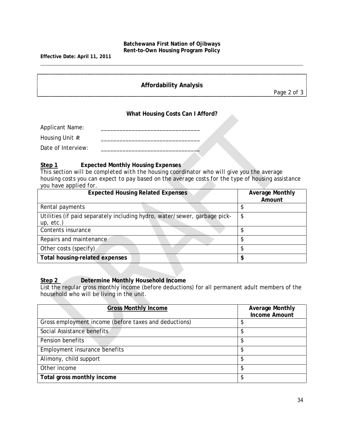**Effective Date: April 11, 2011**

# **Affordability Analysis**

*Page 2 of 3*

#### **What Housing Costs Can I Afford?**

Applicant Name: Housing Unit #: \_\_\_\_\_\_\_\_\_\_\_\_\_\_\_\_\_\_\_\_\_\_\_\_\_\_\_\_\_\_\_\_ Date of Interview: \_\_\_\_\_\_\_\_\_\_\_\_\_\_\_\_\_\_\_\_\_\_\_\_\_\_\_\_\_\_\_\_

# **Step 1 Expected Monthly Housing Expenses**

*This section will be completed with the housing coordinator who will give you the average housing costs you can expect to pay based on the average costs for the type of housing assistance you have applied for.*

| <b>Expected Housing Related Expenses</b>                                               | <b>Average Monthly</b><br>Amount |  |  |
|----------------------------------------------------------------------------------------|----------------------------------|--|--|
| Rental payments                                                                        |                                  |  |  |
| Utilities (if paid separately including hydro, water/sewer, garbage pick-<br>up, etc.) | \$                               |  |  |
| Contents insurance                                                                     |                                  |  |  |
| Repairs and maintenance                                                                |                                  |  |  |
| Other costs (specify)                                                                  |                                  |  |  |
| <b>Total housing-related expenses</b>                                                  | \$                               |  |  |

# **Step 2 Determine Monthly Household Income**

List the regular gross monthly income (before deductions) for all permanent adult members of the household who will be living in the unit.

| <b>Gross Monthly Income</b>                           | <b>Average Monthly</b><br><b>Income Amount</b> |
|-------------------------------------------------------|------------------------------------------------|
| Gross employment income (before taxes and deductions) | J                                              |
| Social Assistance benefits                            |                                                |
| Pension benefits                                      | \$                                             |
| Employment insurance benefits                         | \$                                             |
| Alimony, child support                                | \$                                             |
| Other income                                          | \$                                             |
| Total gross monthly income                            | \$                                             |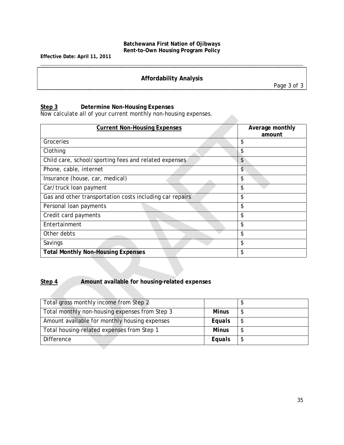**Effective Date: April 11, 2011**

# **Affordability Analysis**

*Page 3 of 3*

#### **Step 3 Determine Non-Housing Expenses**

Now calculate all of your current monthly non-housing expenses.

| <b>Current Non-Housing Expenses</b>                      | Average monthly<br>amount |
|----------------------------------------------------------|---------------------------|
| Groceries                                                | \$                        |
| Clothing                                                 | \$                        |
| Child care, school/sporting fees and related expenses    | \$                        |
| Phone, cable, internet                                   | \$                        |
| Insurance (house, car, medical)                          | \$                        |
| Car/truck loan payment                                   | \$                        |
| Gas and other transportation costs including car repairs | \$                        |
| Personal loan payments                                   | \$                        |
| Credit card payments                                     | \$                        |
| Entertainment                                            | \$                        |
| Other debts                                              | \$                        |
| Savings                                                  | \$                        |
| <b>Total Monthly Non-Housing Expenses</b>                | \$                        |

# **Step 4 Amount available for housing-related expenses**

| Total gross monthly income from Step 2         |              |  |
|------------------------------------------------|--------------|--|
| Total monthly non-housing expenses from Step 3 | <b>Minus</b> |  |
| Amount available for monthly housing expenses  | Equals       |  |
| Total housing-related expenses from Step 1     | <b>Minus</b> |  |
| Difference                                     | Equals       |  |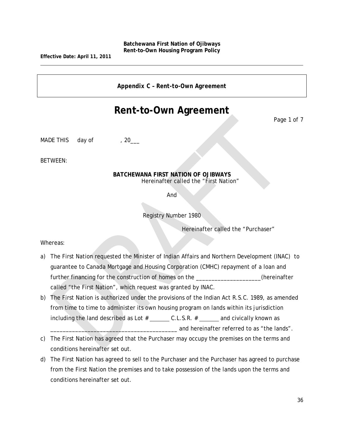**Effective Date: April 11, 2011**

*Appendix C – Rent-to-Own Agreement*

# **Rent-to-Own Agreement**

Page 1 of 7

MADE THIS day of , 20

BETWEEN:

#### **BATCHEWANA FIRST NATION OF OJIBWAYS** Hereinafter called the "First Nation"

And

Registry Number 1980

Hereinafter called the "Purchaser"

Whereas:

- a) The First Nation requested the Minister of Indian Affairs and Northern Development (INAC) to guarantee to Canada Mortgage and Housing Corporation (CMHC) repayment of a loan and further financing for the construction of homes on the \_\_\_\_\_\_\_\_\_\_\_\_\_\_\_\_\_\_(hereinafter called "the First Nation", which request was granted by INAC.
- b) The First Nation is authorized under the provisions of the Indian Act R.S.C. 1989, as amended from time to time to administer its own housing program on lands within its jurisdiction including the land described as Lot  $#$  \_\_\_\_\_\_\_\_ C.L.S.R.  $#$  \_\_\_\_\_\_\_ and civically known as and hereinafter referred to as "the lands".
- c) The First Nation has agreed that the Purchaser may occupy the premises on the terms and conditions hereinafter set out.
- d) The First Nation has agreed to sell to the Purchaser and the Purchaser has agreed to purchase from the First Nation the premises and to take possession of the lands upon the terms and conditions hereinafter set out.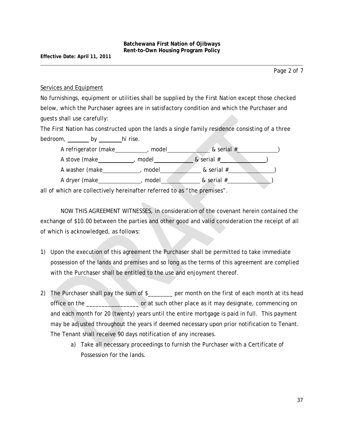#### Services and Equipment

No furnishings, equipment or utilities shall be supplied by the First Nation except those checked below, which the Purchaser agrees are in satisfactory condition and which the Purchaser and guests shall use carefully:

The First Nation has constructed upon the lands a single family residence consisting of a three bedroom, by hi rise.



all of which are collectively hereinafter referred to as "the premises".

NOW THIS AGREEMENT WITNESSES, in consideration of the covenant herein contained the exchange of \$10.00 between the parties and other good and valid consideration the receipt of all of which is acknowledged, as follows:

- 1) Upon the execution of this agreement the Purchaser shall be permitted to take immediate possession of the lands and premises and so long as the terms of this agreement are complied with the Purchaser shall be entitled to the use and enjoyment thereof.
- 2) The Purchaser shall pay the sum of \$\_\_\_\_\_\_\_ per month on the first of each month at its head office on the example or at such other place as it may designate, commencing on and each month for 20 (twenty) years until the entire mortgage is paid in full. This payment may be adjusted throughout the years if deemed necessary upon prior notification to Tenant. The Tenant shall receive 90 days notification of any increases.
	- a) Take all necessary proceedings to furnish the Purchaser with a Certificate of Possession for the lands.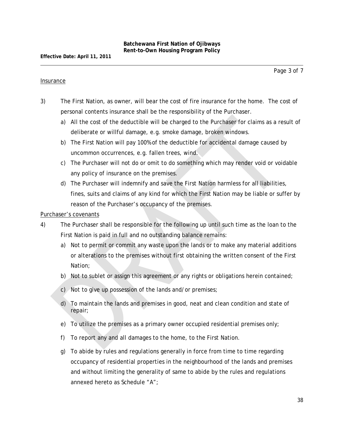#### Insurance

- 3) The First Nation, as owner, will bear the cost of fire insurance for the home. The cost of personal contents insurance shall be the responsibility of the Purchaser.
	- a) All the cost of the deductible will be charged to the Purchaser for claims as a result of deliberate or willful damage, e.g. smoke damage, broken windows.
	- b) The First Nation will pay 100% of the deductible for accidental damage caused by uncommon occurrences, e.g. fallen trees, wind.
	- c) The Purchaser will not do or omit to do something which may render void or voidable any policy of insurance on the premises.
	- d) The Purchaser will indemnify and save the First Nation harmless for all liabilities, fines, suits and claims of any kind for which the First Nation may be liable or suffer by reason of the Purchaser's occupancy of the premises.

#### Purchaser's covenants

- 4) The Purchaser shall be responsible for the following up until such time as the loan to the First Nation is paid in full and no outstanding balance remains:
	- a) Not to permit or commit any waste upon the lands or to make any material additions or alterations to the premises without first obtaining the written consent of the First Nation;
	- b) Not to sublet or assign this agreement or any rights or obligations herein contained;
	- c) Not to give up possession of the lands and/or premises;
	- d) To maintain the lands and premises in good, neat and clean condition and state of repair;
	- e) To utilize the premises as a primary owner occupied residential premises only;
	- f) To report any and all damages to the home, to the First Nation.
	- g) To abide by rules and regulations generally in force from time to time regarding occupancy of residential properties in the neighbourhood of the lands and premises and without limiting the generality of same to abide by the rules and regulations annexed hereto as Schedule "A";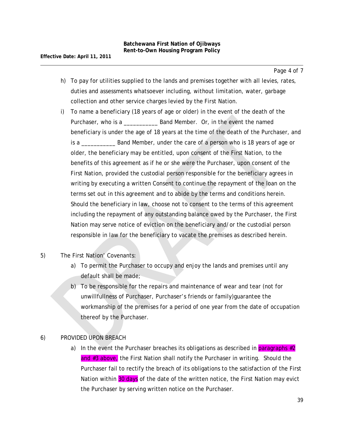- h) To pay for utilities supplied to the lands and premises together with all levies, rates, duties and assessments whatsoever including, without limitation, water, garbage collection and other service charges levied by the First Nation.
- i) To name a beneficiary (18 years of age or older) in the event of the death of the Purchaser, who is a \_\_\_\_\_\_\_\_\_\_\_ Band Member. Or, in the event the named beneficiary is under the age of 18 years at the time of the death of the Purchaser, and is a \_\_\_\_\_\_\_\_\_\_\_ Band Member, under the care of a person who is 18 years of age or older, the beneficiary may be entitled, upon consent of the First Nation, to the benefits of this agreement as if he or she were the Purchaser, upon consent of the First Nation, provided the custodial person responsible for the beneficiary agrees in writing by executing a written Consent to continue the repayment of the loan on the terms set out in this agreement and to abide by the terms and conditions herein. Should the beneficiary in law, choose not to consent to the terms of this agreement including the repayment of any outstanding balance owed by the Purchaser, the First Nation may serve notice of eviction on the beneficiary and/or the custodial person responsible in law for the beneficiary to vacate the premises as described herein.
- 5) The First Nation' Covenants:
	- a) To permit the Purchaser to occupy and enjoy the lands and premises until any default shall be made;
	- b) To be responsible for the repairs and maintenance of wear and tear (not for unwillfullness of Purchaser, Purchaser's friends or family)guarantee the workmanship of the premises for a period of one year from the date of occupation thereof by the Purchaser.

#### 6) PROVIDED UPON BREACH

a) In the event the Purchaser breaches its obligations as described in paragraphs  $\#2$ and #3 above, the First Nation shall notify the Purchaser in writing. Should the Purchaser fail to rectify the breach of its obligations to the satisfaction of the First Nation within 30 days of the date of the written notice, the First Nation may evict the Purchaser by serving written notice on the Purchaser.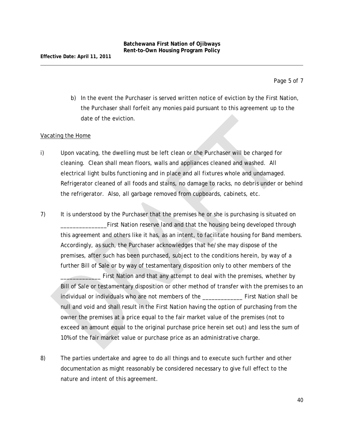Page 5 of 7

b) In the event the Purchaser is served written notice of eviction by the First Nation, the Purchaser shall forfeit any monies paid pursuant to this agreement up to the date of the eviction.

#### Vacating the Home

- i) Upon vacating, the dwelling must be left clean or the Purchaser will be charged for cleaning. Clean shall mean floors, walls and appliances cleaned and washed. All electrical light bulbs functioning and in place and all fixtures whole and undamaged. Refrigerator cleaned of all foods and stains, no damage to racks, no debris under or behind the refrigerator. Also, all garbage removed from cupboards, cabinets, etc.
- 7) It is understood by the Purchaser that the premises he or she is purchasing is situated on \_\_\_\_\_\_\_\_\_\_\_\_\_\_\_First Nation reserve land and that the housing being developed through this agreement and others like it has, as an intent, to facilitate housing for Band members. Accordingly, as such, the Purchaser acknowledges that he/she may dispose of the premises, after such has been purchased, subject to the conditions herein, by way of a further Bill of Sale or by way of testamentary disposition only to other members of the

First Nation and that any attempt to deal with the premises, whether by Bill of Sale or testamentary disposition or other method of transfer with the premises to an individual or individuals who are not members of the \_\_\_\_\_\_\_\_\_\_\_\_\_ First Nation shall be null and void and shall result in the First Nation having the option of purchasing from the owner the premises at a price equal to the fair market value of the premises (not to exceed an amount equal to the original purchase price herein set out) and less the sum of 10% of the fair market value or purchase price as an administrative charge.

8) The parties undertake and agree to do all things and to execute such further and other documentation as might reasonably be considered necessary to give full effect to the nature and intent of this agreement.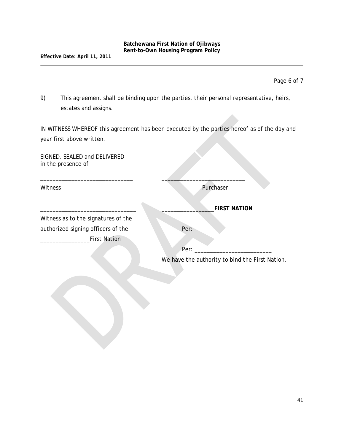Page 6 of 7

9) This agreement shall be binding upon the parties, their personal representative, heirs, estates and assigns.

IN WITNESS WHEREOF this agreement has been executed by the parties hereof as of the day and year first above written.

\_\_\_\_\_\_\_\_\_\_\_\_\_\_\_\_\_\_\_\_\_\_\_\_\_\_\_\_\_\_ \_\_\_\_\_\_\_\_\_\_\_\_\_\_\_\_\_\_\_\_\_\_\_\_\_\_\_

SIGNED, SEALED and DELIVERED in the presence of

Witness Purchaser

Witness as to the signatures of the authorized signing officers of the Per: First Nation

\_\_\_\_\_\_\_\_\_\_\_\_\_\_\_\_\_\_\_\_\_\_\_\_\_\_\_\_\_\_\_ \_\_\_\_\_\_\_\_\_\_\_\_\_\_\_\_\_**FIRST NATION**

 $Per:$ 

We have the authority to bind the First Nation.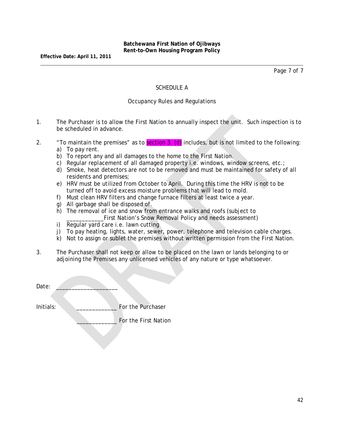Page 7 of 7

#### SCHEDULE A

#### Occupancy Rules and Regulations

- 1. The Purchaser is to allow the First Nation to annually inspect the unit. Such inspection is to be scheduled in advance.
- 2.  $\blacksquare$  To maintain the premises" as to **section 3. (d)** includes, but is not limited to the following: a) To pay rent.
	- b) To report any and all damages to the home to the First Nation.
	- c) Regular replacement of all damaged property i.e. windows, window screens, etc.;
	- d) Smoke, heat detectors are not to be removed and must be maintained for safety of all residents and premises;
	- e) HRV must be utilized from October to April. During this time the HRV is not to be turned off to avoid excess moisture problems that will lead to mold.
	- f) Must clean HRV filters and change furnace filters at least twice a year.
	- g) All garbage shall be disposed of.
	- h) The removal of ice and snow from entrance walks and roofs (subject to \_\_\_\_\_\_\_\_\_\_\_\_First Nation's Snow Removal Policy and needs assessment)
	- i) Regular yard care i.e. lawn cutting
	- j) To pay heating, lights, water, sewer, power, telephone and television cable charges.
	- k) Not to assign or sublet the premises without written permission from the First Nation.
- 3. The Purchaser shall not keep or allow to be placed on the lawn or lands belonging to or adjoining the Premises any unlicensed vehicles of any nature or type whatsoever.

Date:

Initials: **Example 1** For the Purchaser

For the First Nation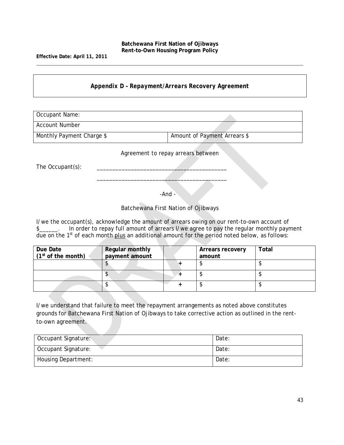**Effective Date: April 11, 2011**

#### *Appendix D – Repayment/Arrears Recovery Agreement*

Occupant Name: Account Number Monthly Payment Charge \$ Amount of Payment Arrears \$ Agreement to repay arrears between

The Occupant(s):

-And -

 $\overline{\phantom{a}}$  , where  $\overline{\phantom{a}}$  , where  $\overline{\phantom{a}}$  ,  $\overline{\phantom{a}}$  ,  $\overline{\phantom{a}}$  ,  $\overline{\phantom{a}}$  ,  $\overline{\phantom{a}}$  ,  $\overline{\phantom{a}}$  ,  $\overline{\phantom{a}}$  ,  $\overline{\phantom{a}}$  ,  $\overline{\phantom{a}}$  ,  $\overline{\phantom{a}}$  ,  $\overline{\phantom{a}}$  ,  $\overline{\phantom{a}}$  ,  $\overline{\phantom{a}}$  ,

Batchewana First Nation of Ojibways

I/we the occupant(s), acknowledge the amount of arrears owing on our rent-to-own account of \$ due on the  $1<sup>st</sup>$  of each month plus an additional amount for the period noted below, as follows:

| Due Date<br>$(1st$ of the month) | <b>Regular monthly</b><br>payment amount | Arrears recovery<br>amount | Total |
|----------------------------------|------------------------------------------|----------------------------|-------|
|                                  |                                          |                            |       |
|                                  |                                          |                            |       |
|                                  |                                          |                            |       |

I/we understand that failure to meet the repayment arrangements as noted above constitutes grounds for Batchewana First Nation of Ojibways to take corrective action as outlined in the rentto-own agreement.

| Occupant Signature: | Date: |
|---------------------|-------|
| Occupant Signature: | Date: |
| Housing Department: | Date: |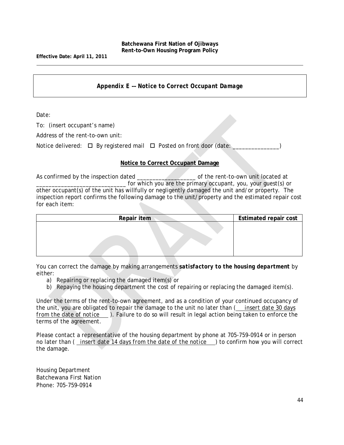*Appendix E –– Notice to Correct Occupant Damage*

Date:

To: (insert occupant's name)

Address of the rent-to-own unit:

Notice delivered:  $\Box$  By registered mail  $\Box$  Posted on front door (date:

#### **Notice to Correct Occupant Damage**

As confirmed by the inspection dated on the rent-to-own unit located at for which you are the primary occupant, you, your quest(s) or other occupant(s) of the unit has willfully or negligently damaged the unit and/or property. The inspection report confirms the following damage to the unit/property and the estimated repair cost for each item:

| Repair item | <b>Estimated repair cost</b> |
|-------------|------------------------------|
|             |                              |
|             |                              |
|             |                              |
|             |                              |

You can correct the damage by making arrangements *satisfactory to the housing department* by either:

- a) Repairing or replacing the damaged item(s) or
- b) Repaying the housing department the cost of repairing or replacing the damaged item(s).

Under the terms of the rent-to-own agreement, and as a condition of your continued occupancy of the unit, you are obligated to repair the damage to the unit no later than ( *insert date 30 days from the date of notice* ). Failure to do so will result in legal action being taken to enforce the terms of the agreement.

Please contact a representative of the housing department by phone at 705-759-0914 or in person no later than ( *insert date 14 days from the date of the notice* ) to confirm how you will correct the damage.

Housing Department Batchewana First Nation Phone: 705-759-0914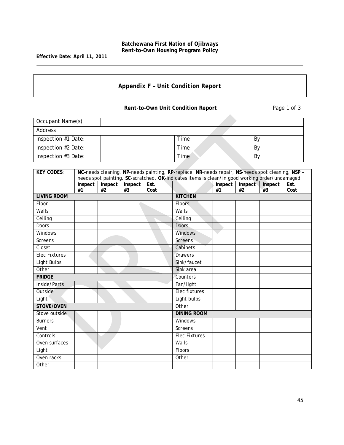**Effective Date: April 11, 2011**

# *Appendix F – Unit Condition Report*

**Rent-to-Own Unit Condition Report Page 1 of 3** 

| Occupant Name(s)    |      |    |  |  |  |
|---------------------|------|----|--|--|--|
| Address             |      |    |  |  |  |
| Inspection #1 Date: | Time | By |  |  |  |
| Inspection #2 Date: | Time | By |  |  |  |
| Inspection #3 Date: | Time | By |  |  |  |

| <b>KEY CODES:</b>    | NC-needs cleaning, NP-needs painting, RP-replace, NR-needs repair, NS-needs spot cleaning, NSP -<br>needs spot painting, SC-scratched, OK-indicates items is clean/in good working order/undamaged |         |         |      |                    |         |         |         |      |
|----------------------|----------------------------------------------------------------------------------------------------------------------------------------------------------------------------------------------------|---------|---------|------|--------------------|---------|---------|---------|------|
|                      | Inspect                                                                                                                                                                                            | Inspect | Inspect | Est. |                    | Inspect | Inspect | Inspect | Est. |
|                      | #1                                                                                                                                                                                                 | #2      | #3      | Cost |                    | #1      | #2      | #3      | Cost |
| <b>LIVING ROOM</b>   |                                                                                                                                                                                                    |         |         |      | <b>KITCHEN</b>     |         |         |         |      |
| Floor                |                                                                                                                                                                                                    |         |         |      | <b>Floors</b>      |         |         |         |      |
| Walls                |                                                                                                                                                                                                    |         |         |      | Walls              |         |         |         |      |
| Ceiling              |                                                                                                                                                                                                    |         |         |      | Ceiling            |         |         |         |      |
| <b>Doors</b>         |                                                                                                                                                                                                    |         |         |      | <b>Doors</b>       |         |         |         |      |
| Windows              |                                                                                                                                                                                                    |         |         |      | Windows            | o.      |         |         |      |
| Screens              |                                                                                                                                                                                                    |         |         |      | <b>Screens</b>     |         |         |         |      |
| Closet               |                                                                                                                                                                                                    |         |         |      | Cabinets           |         |         |         |      |
| <b>Elec Fixtures</b> |                                                                                                                                                                                                    |         |         |      | <b>Drawers</b>     |         |         |         |      |
| Light Bulbs          |                                                                                                                                                                                                    |         |         |      | Sink/faucet        |         |         |         |      |
| Other                |                                                                                                                                                                                                    |         |         |      | Sink area          |         |         |         |      |
| <b>FRIDGE</b>        |                                                                                                                                                                                                    |         |         |      | Counters           |         |         |         |      |
| Inside/Parts         |                                                                                                                                                                                                    |         |         |      | Fan/light          |         |         |         |      |
| Outside              |                                                                                                                                                                                                    |         |         |      | Elec fixtures      |         |         |         |      |
| Light                |                                                                                                                                                                                                    |         |         |      | Light bulbs        |         |         |         |      |
| STOVE/OVEN           |                                                                                                                                                                                                    |         |         |      | Other              |         |         |         |      |
| Stove outside        |                                                                                                                                                                                                    |         |         |      | <b>DINING ROOM</b> |         |         |         |      |
| <b>Burners</b>       |                                                                                                                                                                                                    |         |         |      | Windows            |         |         |         |      |
| Vent                 |                                                                                                                                                                                                    |         |         |      | Screens            |         |         |         |      |
| Controls             |                                                                                                                                                                                                    |         |         |      | Elec Fixtures      |         |         |         |      |
| Oven surfaces        |                                                                                                                                                                                                    |         |         |      | Walls              |         |         |         |      |
| Light                |                                                                                                                                                                                                    |         |         |      | <b>Floors</b>      |         |         |         |      |
| Oven racks           |                                                                                                                                                                                                    |         |         |      | Other              |         |         |         |      |
| Other                |                                                                                                                                                                                                    |         |         |      |                    |         |         |         |      |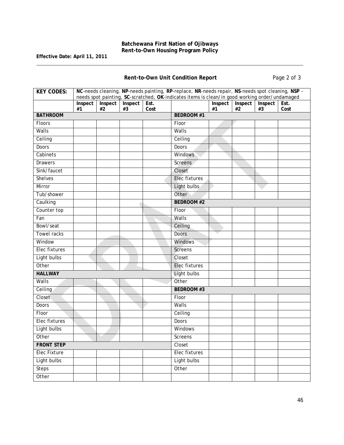**Effective Date: April 11, 2011**

**Rent-to-Own Unit Condition Report Page 2 of 3** 

| <b>KEY CODES:</b>   | NC-needs cleaning, NP-needs painting, RP-replace, NR-needs repair, NS-needs spot cleaning, NSP -<br>needs spot painting, SC-scratched, OK-indicates items is clean/in good working order/undamaged |         |         |      |                      |         |         |         |      |
|---------------------|----------------------------------------------------------------------------------------------------------------------------------------------------------------------------------------------------|---------|---------|------|----------------------|---------|---------|---------|------|
|                     | Inspect                                                                                                                                                                                            | Inspect | Inspect | Est. |                      | Inspect | Inspect | Inspect | Est. |
|                     | #1                                                                                                                                                                                                 | #2      | #3      | Cost |                      | #1      | #2      | #3      | Cost |
| <b>BATHROOM</b>     |                                                                                                                                                                                                    |         |         |      | <b>BEDROOM #1</b>    |         |         |         |      |
| Floors              |                                                                                                                                                                                                    |         |         |      | Floor                |         |         |         |      |
| Walls               |                                                                                                                                                                                                    |         |         |      | Walls                |         |         |         |      |
| Ceiling             |                                                                                                                                                                                                    |         |         |      | Ceiling              |         |         |         |      |
| <b>Doors</b>        |                                                                                                                                                                                                    |         |         |      | <b>Doors</b>         |         |         |         |      |
| Cabinets            |                                                                                                                                                                                                    |         |         |      | <b>Windows</b>       |         |         |         |      |
| <b>Drawers</b>      |                                                                                                                                                                                                    |         |         |      | <b>Screens</b>       |         |         |         |      |
| Sink/faucet         |                                                                                                                                                                                                    |         |         |      | Closet               |         |         |         |      |
| <b>Shelves</b>      |                                                                                                                                                                                                    |         |         |      | <b>Elec fixtures</b> |         |         |         |      |
| Mirror              |                                                                                                                                                                                                    |         |         |      | Light bulbs          |         |         |         |      |
| Tub/shower          |                                                                                                                                                                                                    |         |         |      | Other                |         |         |         |      |
| Caulking            |                                                                                                                                                                                                    |         |         |      | <b>BEDROOM #2</b>    |         |         |         |      |
| Counter top         |                                                                                                                                                                                                    |         |         |      | Floor                |         |         |         |      |
| Fan                 |                                                                                                                                                                                                    |         |         |      | Walls                |         |         |         |      |
| Bowl/seat           |                                                                                                                                                                                                    |         |         |      | Ceiling              |         |         |         |      |
| <b>Towel racks</b>  |                                                                                                                                                                                                    |         |         |      | <b>Doors</b>         |         |         |         |      |
| Window              |                                                                                                                                                                                                    |         |         |      | <b>Windows</b>       |         |         |         |      |
| Elec fixtures       |                                                                                                                                                                                                    |         |         |      | <b>Screens</b>       |         |         |         |      |
| Light bulbs         |                                                                                                                                                                                                    |         |         |      | Closet               |         |         |         |      |
| Other               |                                                                                                                                                                                                    |         |         |      | <b>Elec fixtures</b> |         |         |         |      |
| <b>HALLWAY</b>      |                                                                                                                                                                                                    |         |         |      | Light bulbs          |         |         |         |      |
| Walls               |                                                                                                                                                                                                    |         |         |      | Other                |         |         |         |      |
| Ceiling             |                                                                                                                                                                                                    |         |         |      | <b>BEDROOM#3</b>     |         |         |         |      |
| Closet              |                                                                                                                                                                                                    |         |         |      | Floor                |         |         |         |      |
| Doors               |                                                                                                                                                                                                    |         |         |      | Walls                |         |         |         |      |
| Floor               |                                                                                                                                                                                                    |         |         |      | Ceiling              |         |         |         |      |
| Elec fixtures       |                                                                                                                                                                                                    |         |         |      | Doors                |         |         |         |      |
| Light bulbs         |                                                                                                                                                                                                    |         |         |      | Windows              |         |         |         |      |
| Other               |                                                                                                                                                                                                    |         |         |      | Screens              |         |         |         |      |
| <b>FRONT STEP</b>   |                                                                                                                                                                                                    |         |         |      | Closet               |         |         |         |      |
| <b>Elec Fixture</b> |                                                                                                                                                                                                    |         |         |      | Elec fixtures        |         |         |         |      |
| Light bulbs         |                                                                                                                                                                                                    |         |         |      | Light bulbs          |         |         |         |      |
| <b>Steps</b>        |                                                                                                                                                                                                    |         |         |      | Other                |         |         |         |      |
| Other               |                                                                                                                                                                                                    |         |         |      |                      |         |         |         |      |